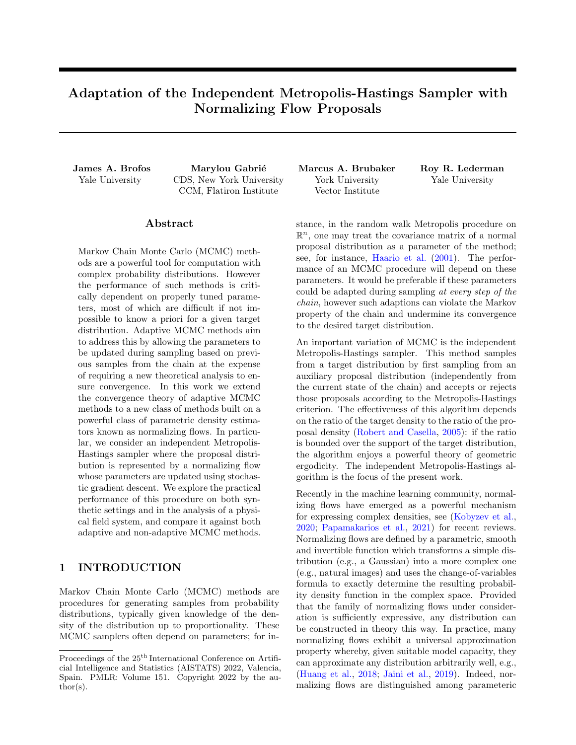# Adaptation of the Independent Metropolis-Hastings Sampler with Normalizing Flow Proposals

James A. Brofos Marylou Gabrié Marcus A. Brubaker Roy R. Lederman Yale University CDS, New York University CCM, Flatiron Institute

#### ${\rm Abstract}$

Markov Chain Monte Carlo (MCMC) methods are a powerful tool for computation with complex probability distributions. However the performance of such methods is critically dependent on properly tuned parameters, most of which are difficult if not impossible to know a priori for a given target distribution. Adaptive MCMC methods aim to address this by allowing the parameters to be updated during sampling based on previous samples from the chain at the expense of requiring a new theoretical analysis to ensure convergence. In this work we extend the convergence theory of adaptive MCMC methods to a new class of methods built on a powerful class of parametric density estimators known as normalizing flows. In particular, we consider an independent Metropolis-Hastings sampler where the proposal distribution is represented by a normalizing flow whose parameters are updated using stochastic gradient descent. We explore the practical performance of this procedure on both synthetic settings and in the analysis of a physical field system, and compare it against both adaptive and non-adaptive MCMC methods.

## <span id="page-0-0"></span>1 INTRODUCTION

Markov Chain Monte Carlo (MCMC) methods are procedures for generating samples from probability distributions, typically given knowledge of the density of the distribution up to proportionality. These MCMC samplers often depend on parameters; for inYork University Vector Institute Yale University

stance, in the random walk Metropolis procedure on  $\mathbb{R}^n$ , one may treat the covariance matrix of a normal proposal distribution as a parameter of the method; see, for instance, [Haario et al.](#page-9-0) [\(2001\)](#page-9-0). The performance of an MCMC procedure will depend on these parameters. It would be preferable if these parameters could be adapted during sampling at every step of the chain, however such adaptions can violate the Markov property of the chain and undermine its convergence to the desired target distribution.

An important variation of MCMC is the independent Metropolis-Hastings sampler. This method samples from a target distribution by first sampling from an auxiliary proposal distribution (independently from the current state of the chain) and accepts or rejects those proposals according to the Metropolis-Hastings criterion. The effectiveness of this algorithm depends on the ratio of the target density to the ratio of the proposal density [\(Robert and Casella,](#page-10-0) [2005\)](#page-10-0): if the ratio is bounded over the support of the target distribution, the algorithm enjoys a powerful theory of geometric ergodicity. The independent Metropolis-Hastings algorithm is the focus of the present work.

Recently in the machine learning community, normalizing flows have emerged as a powerful mechanism for expressing complex densities, see [\(Kobyzev et al.,](#page-9-1) [2020;](#page-9-1) [Papamakarios et al.,](#page-9-2) [2021\)](#page-9-2) for recent reviews. Normalizing flows are defined by a parametric, smooth and invertible function which transforms a simple distribution (e.g., a Gaussian) into a more complex one (e.g., natural images) and uses the change-of-variables formula to exactly determine the resulting probability density function in the complex space. Provided that the family of normalizing flows under consideration is sufficiently expressive, any distribution can be constructed in theory this way. In practice, many normalizing flows exhibit a universal approximation property whereby, given suitable model capacity, they can approximate any distribution arbitrarily well, e.g., [\(Huang et al.,](#page-9-3) [2018;](#page-9-3) [Jaini et al.,](#page-9-4) [2019\)](#page-9-4). Indeed, normalizing flows are distinguished among parameteric

Proceedings of the  $25^{\text{th}}$  International Conference on Artificial Intelligence and Statistics (AISTATS) 2022, Valencia, Spain. PMLR: Volume 151. Copyright 2022 by the au- $\text{thor}(s)$ .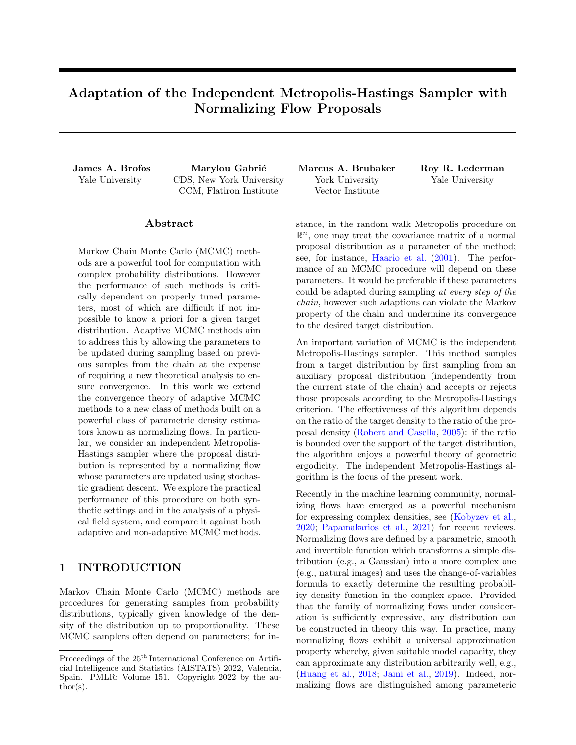families of distributions by their expressiveness and tractability of sampling and log-density evaluation; the precise attributes that one requires for a proposal distribution in the independent Metropolis-Hastings sampler. By incorporating normalizing flows into the MCMC framework we seek to leverage their expressivity along with the ergodicity of the MCMC procedure in order to produce samples from a target distribution (see fig. [1\)](#page-2-0). The principle computational challenge associated to normalizing flows is the identification of parameters that produce the best approximation of a target density. Therefore, a question of principle theoretical interest and practical importance is, "During the course of sampling, under what conditions can the parameters of the normalizing flow be adapted at every step of the chain?"

The outline of this paper is as follows. In section [2](#page-1-0) we review important concepts from the analysis of Markov chains; we provide the independent Metropolis-Hastings algorithm and state the conditions under which it enjoys geometric ergodicity; we devise a metric space over transition kernels, which will be important for analyzing notions of continuity. We review recent experimental works that demonstrated the benefit of normalizing flow proposals in MCMCs and related theoretical literature in section [3.](#page-3-0) In section [4](#page-4-0) we state our theories for the continual adaptation of Markov chains. We begin by considering deterministic adaptations wherein parameter updates are determined sequentially and deterministically without regard to the state of the chain; this case can be used to motivate the adaptation of normalizing flows as a gradient flow. We then proceed to consider stochastic adaptations wherein the state of the chain and the adaptation of the parameters of the normalizing flow at the  $n<sup>th</sup>$  step are not necessarily independent given the history of the chain up to the  $(n \t1)^{\text{th}}$  step. This circumstance includes the case wherein the accepted proposal sampled from the normalizing flow is also used in the computation of the adaptation, as necessary for the "pseudo-likelihood" algorithm we examine numerically in section [5.](#page-6-0)

## <span id="page-1-0"></span>2 PRELIMINARIES

In giving an overview of Markov chains and their associated theory, we emulate the notation and presentation of [Meyn and Tweedie](#page-9-5) [\(1993\)](#page-9-5). Refer to appendix [A](#page-11-0) for a review of total variation distances. Throughout, we let  $X$  denote a set which we equip with its Borel σ-algebra, denoted  $B(X)$ . We associate to  $(X, B(X))$ <br>a measure  $\mu : B(X) \neq [0, 7)$  – satisfying  $\mu(A) = 0$  for a measure  $\mu$  :  $B(X)$  ! [0, 1) – satisfying  $\mu(A)$ all  $A \supseteq B(X)$ ,  $\mu(\cdot) = 0$ , and the condition of countable additivity – to create the measure space  $(X, B(X), \mu)$ . A probability measure is a measure which satisfies Kolmogorov's axioms [\(Kolmogorov,](#page-9-6) [1960\)](#page-9-6). A signed measure relaxes the condition of non-negativity. If  $X$  is an X-valued random variable and  $\Pi$  is a probability<br>measure on  $(X, B(X))$  we write  $X \Pi()$  to mean measure on  $(X, B(X))$  we write X that for any  $A \supseteq B(X)$  we have  $Pr[X \supseteq A] = \Pi(A)$ . If a probability measure Π has a density with respect to a dominating measure  $\mu$ , this means that for all  $A \supseteq B(X)$ ,  $\Pi(A) = \int_A \pi(x) \mu(dx)$ . The support of a density  $\pi$  is  $\text{Supp}(\pi) = \text{fix } 2 \times : \pi(x) > 0$ g. When we turn our attention to the discussion of parameterizations of transition kernels, we will write  $Y$  as a generic parameter space and use the symbol  $\theta$  2  $\gamma$  to refer to a particular parameterization. We denote the Dirac measure concentrated at  $x \nightharpoonup X$  by  $\delta_x($ ).

#### 2.1 Transition Kernels

In MCMC, we generate a sequence of  $X$ -valued random variables, denoted  $(X_0, X_1, \ldots)$  that satisfy the Markov property. The transition to state  $X_{n+1}$  given  $X_n = x_n$  is formally captured by the notion of a transition kernel.

Definition 2.1 [\(Robert and Casella](#page-10-0) [\(2005\)](#page-10-0)). A transition kernel on X is a function  $X$   $\mathbf{B}(X)$  3  $(x, A)$   $\mathbb{Z}$  $K(x, A)$  that satisfies the following two properties: (i) For all  $x \nightharpoonup X$ ,  $K(x, \cdot)$  is a probability measure and (ii) For all  $A \supseteq B(X)$ ,  $K( , A)$  is  $B(X)$ -measurable.

Thus, the propagation of the state from step  $n$  to step  $n+1$  is represented by  $X_{n+1}$  K( $x_n$ , ). When considering Markov chains, we will frequently be interested in the n-step transition probability measure from some initial state  $X_0 = x_0$ ; we denote this probability measure by  $K^n(x_0, ) = \Pr [X_n \, 2 \, jX_0 = x_0],$  which has the following expression:

$$
K^{n}(x_{0}, A) = \underbrace{\int_{X} \int_{X} K(x_{0}, dx_{1}) K(x_{1}, dx_{2})}_{(n-1) \text{ times}} \tag{1}
$$

$$
K(x_{n-2}, dx_{n-1}) K(x_{n-1}, A).
$$

Of principle interest to the theory of Markov chains is the limiting behavior of the *n*-step transition probability measure.

Definition 2.2. The transition kernel  $K$  with n-step transition law  $K^n$  is ergodic for  $\Pi$  if, for every  $x \nightharpoonup X$ ,  $\lim_{n \to \infty} K^{n}(x, )$   $\Pi(\ )k_{\mathsf{TV}} = 0.$ 

In the sequel, we will require continuity of sequences of transition kernels, which necessitates that we equip the space of transition kernels with a metric. A natural metric considers the worst-case total variation distance between kernels.

<span id="page-1-2"></span><span id="page-1-1"></span>Definition 2.3. Two transition kernels K and  $K^{\theta}$  on X  $B(X)$  are equal if  $\sup_{x \ge X} kK(x, y) K^{\theta}(x, y)$ k<sub>TV</sub> = 0.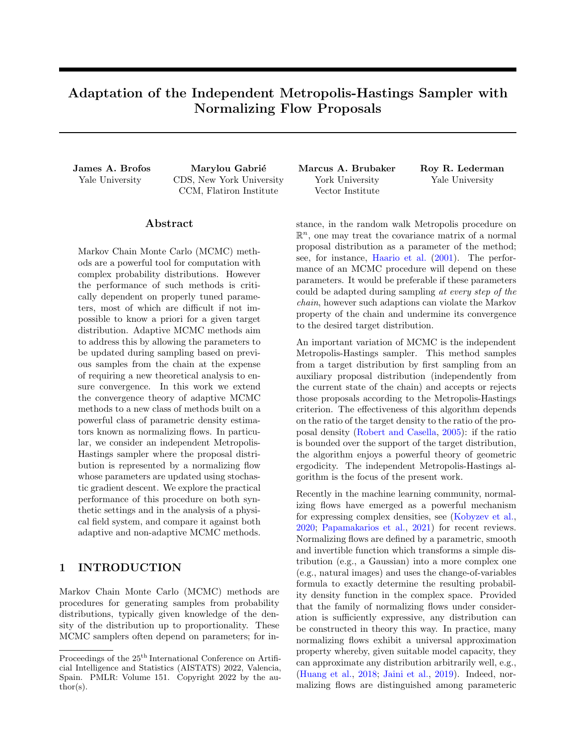<span id="page-2-0"></span>

Figure 1: This work examines the convergence of adaptive Markov chain Monte Carlo algorithms using the independent Metropolis-Hastings algorithm when the proposal distribution is parameterized by a normalizing flow. In this illustration, we seek to draw samples from a target distribution. We begin with an initial parameter  $\Theta_0$  which parameterizes a simple proposal distribution, denoted  $\tilde{\Pi}$ <sub>0</sub>, which is a normalizing flow, and an initial state of the chain  $X_0$ ; a sample from this proposal is accepted or rejected according to the Metropolis-Hastings criterion, yielding a transition to the state  $X_1$ . The parameters of the normalizing flow are thereafter adapted to produce a new proposal distribution  $\tilde{\Pi}_{-1}$ , which we hope is closer to the target distribution. Iterating this procedure we obtain both a sequence of states  $(X_n)_{n\geq N}$  and a sequence of normalizing flow parameters  $(\Theta_n)_{n\geq N}$ . The principle question of this work is to establish when the sequence of states converges to the target density.

**Proposition 2.4.** Let K and  $K^{\theta}$  be transition kernels on X  $\mathbf{B}(X)$ . Then the function,  $d(K, K^{\theta}) =$  $\sup_{x \geq X} kK(x, \cdot)$   $K^0(x, \cdot)$   $k_{\text{TV}}$  is a distance function on transition kernels.

A proof is given in appendix [D.](#page-17-0)

#### 2.2 Independent Metropolis-Hastings

Definition 2.5. Let  $\Pi$  and  $\Pi$  be two probability measures on  $B(X)$  with densities with respect to some dominating measure  $\mu$  given by  $\pi$  and  $\tilde{\pi}$ , respectively. Consider a Markov chain  $(X_0, X_1, X_2, ...)$  constructed via the following procedure given an initial state of the Markov chain  $X_0 = x_0$ . First, randomly sample  $\tilde{X}$  II. Then set  $X_{n+1} = \tilde{X}$  with probability  $\min \left\{ \frac{\pi(X)\pi(X_n)}{\pi(X_n)\pi(X)} \right\}$  $\left\{\frac{\pi(X)\pi(X_n)}{\pi(X_n)\pi(X)}, 1\right\}$  and otherwise set  $X_{n+1} = X_n$ . The Markov chain  $(X_0, X_1, X_2, ...)$  is called the independent Metropolis-Hastings sampler of  $\Pi$  given  $\Pi$ .

<span id="page-2-1"></span>**Proposition 2.6.** Let  $K$  denote the transition kernel of the independent Metropolis-Hastings sampler. The stationary distribution of  $(X_0, X_1, X_2, ...)$  is  $\Pi$ and if there exists a constant M 1 such that  $\frac{\pi(x)}{\pi(x)}$ M,  $8x \cdot 2 \text{Supp}(\pi)$ , then the independent Metropolis-Hastings sampler is uniformly ergodic in the sense that  $kK^n(x, )$   $\Pi()k_{\text{TV}}$   $2\left(1-\frac{1}{M}\right)^n$ .

<span id="page-2-3"></span>For a proof of these results, refer to [Meyn and Tweedie](#page-9-5) [\(1993\)](#page-9-5); [Robert and Casella](#page-10-0) [\(2005\)](#page-10-0). There is a question of when such a  $M$  as in proposition [2.6](#page-2-1) will exist. Under a compactness condition and assumptions of continuity on both the proposal and target densities, then an affirmative existence result can be given.

**Corollary 2.7.** If, in addition,  $X$  is a compact set and if  $\pi$  and  $\tilde{\pi}$  are continuous on X, and if  $\text{Supp}(\pi)$  $\text{Supp}(\tilde{\pi})$  then there exists such an M as in proposition [2.6.](#page-2-1)

A proof is given in appendix [E.](#page-20-0) The transition kernel of the independent Metropolis-Hastings sampler has the form

$$
K(x, dx^{\theta}) = \min\left\{1, \frac{\pi(x^{\theta})\tilde{\pi}(x)}{\pi(x)\tilde{\pi}(x^{\theta})}\right\}\tilde{\pi}(x^{\theta}) \mu(dx^{\theta}) +
$$

$$
\left(1 - \int_{X} \min\left\{1, \frac{\pi(w)\tilde{\pi}(x)}{\pi(x)\tilde{\pi}(w)}\right\}\tilde{\pi}(w) \mu(dw)\right)\delta_{x}(dx^{\theta}).
$$

$$
(2)
$$

<span id="page-2-2"></span>The first term in eq.  $(2)$  is the probability of an accepted transition from x to the region  $dx^{\theta}$  whereas the second term is the probability of remaining at  $x$ , which only contributes if x lies in the region  $dx^{\theta}$ .

#### 2.3 Adaptive Transition Kernels

As alluded to in section [1,](#page-0-0) the transition kernel may depend on parameters, denoted by  $\theta$  and taking values in a set Y. In this case, we express the dependency of the kernel  $K$  on its parameters by writing  $K_{\theta}$ . In adaptive MCMC, given a target probability measure Π, we seek to strategically construct a sequence of transition kernels  $(K_n)_{n \geq N}$  where  $(\Theta_n)_{n \geq N}$ is a sequence of Y-valued random variables. Ideally, the sequence  $(\Theta_n)_{n\geq N}$  will enable sampling from Π that becomes more effective with each step. In the adaptive MCMC framework, the one-step transition laws for  $X_{n+1}$  given  $X_n = x_n$  and  $\Theta_n = \theta_n$  is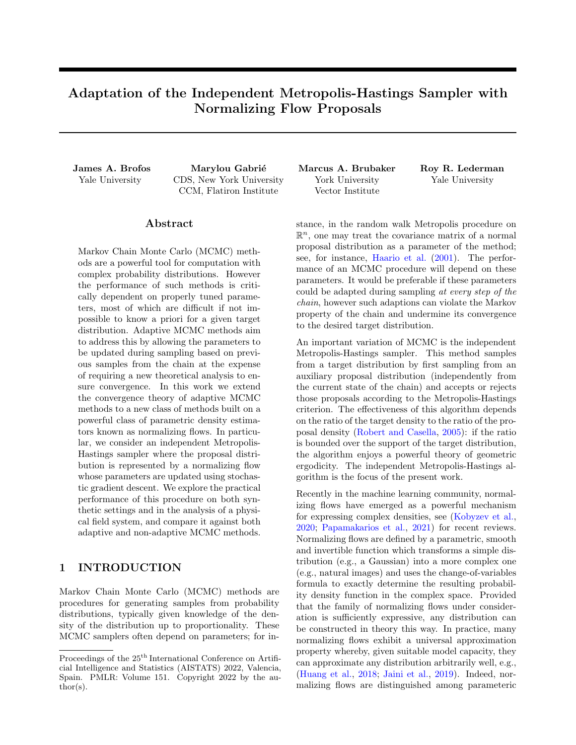$X_{n+1}$   $K_{\theta_n}(x_n)$ . The *n*-step transition law given  $X_0 = x_0$  and  $(\Theta_0 = \theta_0, \dots, \Theta_{n-1} = \theta_{n-1})$  is

$$
K_{(\theta_i)_{i=0}^n}^n(x_0, A) = \underbrace{\int_X \int_X K_{\theta_0}(x_0, dx_1) K_{\theta_1}(x_1, dx_2)}_{(n-1) \text{ times}}.
$$
  

$$
K_{\theta_{n-2}}(x_{n-2}, dx_{n-1}) K_{\theta_{n-1}}(x_{n-1}, A)
$$
(3)

Therefore, by the law of total expectation, the  $n$ step transition law given  $X_0 = x_0$  is  $G^n(x_0, A) =$ E  $\mathbb{E}_{(-0,\dots,-n-1)} K_{(-i)_{i=0}^n}^n(x_0,A)$ , where the expectation is computed over the marginal distribution of the parameters. We now give a precise definition for what it means for an adaptive MCMC procedure to be ergodic. Definition 2.8. The n-step transition law  $G<sup>n</sup>$  is said to be ergodic for the probability measure  $\Pi$  if, for every  $x \; 2 \; X$ ,  $\lim_{n \to \infty} \; kG^n(x, ) \quad \Pi(\;)k_{\text{TV}} = 0.$ 

<span id="page-3-1"></span>The principal theoretical tools of our analysis are the definitions of containment, simultaneous uniform ergodicity, and diminishing adaptation. Diminishing adaptation together with either containment or simultaneous uniform ergodicity implies ergodicity of the adaptive MCMC procedure in the sense of definition [2.8.](#page-3-1) The remainder of this section is a review of [Roberts and Rosenthal](#page-10-1) [\(2007\)](#page-10-1); [Bai et al.](#page-8-0) [\(2011\)](#page-8-0).

<span id="page-3-2"></span>Definition 2.9. The sequence of Markov transition kernels  $fK_{n}g_{n2N}$  is said to exhibit diminishing adaptation if  $\lim_{n \to \infty} \mathcal{A}(K_{n+1}, K_n) = 0$  in probability.

<span id="page-3-4"></span>**Lemma 2.10** [\(Roberts and Rosenthal](#page-10-1)  $(2007)$ ). Suppose that  $\Theta_{n+1} = \Theta_n$  w.p. 1  $\alpha_n$  and otherwise  $\Theta_{n+1} = \Theta_n^{\theta}$  where  $\Theta_n^{\theta} \supseteq Y$  is any other element of the index set. If  $\lim_{n \to \infty} \alpha_n = 0$ , then  $(K_0, K_1, \ldots)$ exhibits diminishing adaptation.

<span id="page-3-3"></span>Definition 2.11. Define  $W_{\epsilon}(x, K)$ inf  $fn \quad 1 : kK^n(x, ) \quad \Pi(\ )k_{\text{TV}} < \epsilon g$ . The sequence  $(\Theta_n)_{n\geq N}$  is said to exhibit containment if, for every  $\epsilon > 0$ , the sequence  $(W_{\epsilon}(X_0, K_{0}), W_{\epsilon}(X_1, K_{1}),...)$ is bounded in probability given  $X_0 = x_0$  and  $\Theta_0 = \theta_0$ , where  $X_{n+1}$  K  $_n(X_n)$ .

Containment states that for a particular stochastic sequence of adaptations  $(\Theta_n)_{n\geq N}$  there is, with arbitrarily high probability, a finite number of steps one may take with any of the parameters in the sequence in order to be arbitrarily close to the target distribution. The following theorems give the relationships between diminishing adaptation, simultaneous uniform ergodicity, containment, and ergodicity of the adaptive MCMC procedure. The proofs of these results may be found in [\(Roberts and Rosenthal,](#page-10-1) [2007\)](#page-10-1).

<span id="page-3-7"></span>**Theorem 2.12.** Let  $fK_{\theta}g_{\theta\gamma}$  be a family of Markov chain transition kernels that are all stationary for the same distribution Π. Suppose that the family satisfies definition [N.1](#page-35-0) and that the sequence  $(\Theta_0, \Theta_1, \ldots)$  satisfies definition [2.9.](#page-3-2) Then the chain whose transitions are governed by  $X_{n+1}$  K  $_K(X_n, )$  is ergodic for the distribution Π.

<span id="page-3-6"></span><span id="page-3-5"></span>**Theorem 2.13.** Let  $fK_{\theta}g_{\theta\gamma}$  be a family of Markov chain transition kernels that are all stationary for the same distribution  $\Pi$ . Suppose that the sequence  $(\Theta_0, \Theta_1, \ldots)$  satisfies definitions [2.9](#page-3-2) and [2.11.](#page-3-3) Then the chain whose transitions are governed by  $X_{n+1}$  $K_{n}(X_{n},)$  is ergodic for the distribution  $\Pi$ .

### <span id="page-3-0"></span>3 RELATED WORK

A series of works recently investigated the learning of a proposal distribution for the independent Metropolis-Hastings sampler with normalizing flows, in particular for statistical mechanics field theories. For such models, [Albergo et al.](#page-8-1) [\(2019\)](#page-8-1) followed by [Nicoli et al.](#page-9-7) [\(2020,](#page-9-7) [2021\)](#page-9-8) used stochastic independent adaptations models following the optimization of the reverse Kullback-Leibler divergence  $(KL)$ , as in *Example* [2](#page-4-1) of the next section. While this strategy is successful when the target is unimodal, it is known to yield underdispersed approximation of the target distribution and to be prone to mode collapse. Within the framework of variational inference, [Naesseth et al.](#page-9-9) [\(2020\)](#page-9-9) proposed to address these issues by optimizing instead an approximate forward KL using simple parametric families for the proposal. In this case, adaptations are stochastic and rely on the previous states of the chain to estimate gradients of the approximate forward KL, called "pseudo-likelihood" in example [3](#page-5-0) of the present paper. Incorporating normalizing flows, Gabrié et al.  $(2021a)$ successfully sampled multimodal distributions using an initialization that echoes the containment property. In the context of statistical field theories, [Hackett](#page-9-11) [et al.](#page-9-11) [\(2021\)](#page-9-11) also demonstrated the need for forward KL training to assist sampling of multimodal distributions while surveying strategies to obtain training samples different from the adaptive MCMC discussed here. [Hoffman et al.](#page-9-12)  $(2019)$  focuses on using normalizing flows to adapt Hamiltonian Monte Carlo to unfavorable posterior geometry by transforming a complicated posterior into a isotropic Gaussian.

Among the works above, ergodicity was only tested numerically. One exception is Gabrié et al. [\(2021a\)](#page-9-10) where a convergence argument based on a continuous time analysis is developed under the assumption of perfect adaptation. The present paper provides a theoretical framework to analyze for the ergodicity of the methods presented in the body of work above. Though our work has focused on establishing ergodicity via the mechanism of [Roberts and Rosenthal](#page-10-1) [\(2007\)](#page-10-1), we note the work of [Andrieu and Moulines](#page-8-2) [\(2006\)](#page-8-2), which may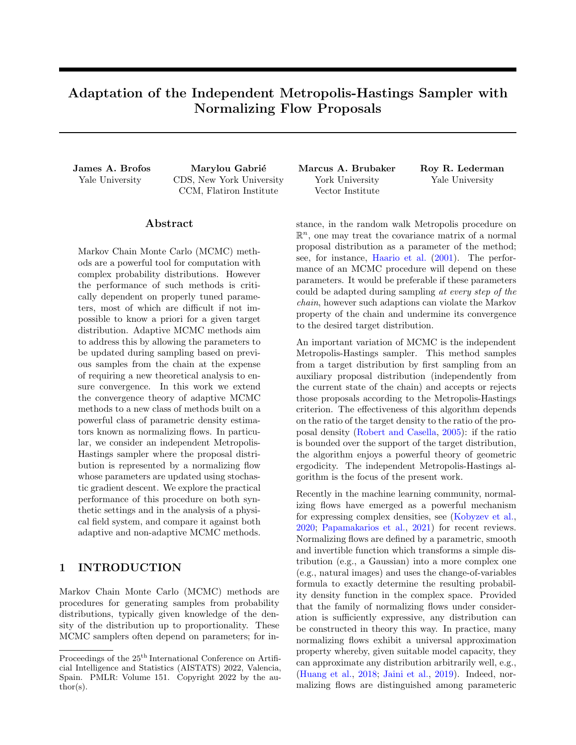be used to establish an ergodicity theory. We concur with the statement in [Roberts and Rosenthal](#page-10-1) [\(2007\)](#page-10-1) that [Andrieu and Moulines](#page-8-2) [\(2006\)](#page-8-2) "requir[es] other technical hypotheses which may be difficult to verify in practice" and that diminishing adaptation and containment are "somewhat simpler conditions." [Holden](#page-9-13) [et al.](#page-9-13) [\(2009\)](#page-9-13) considered the case of independent adaptations of the independent Metropolis-Hastings algorithm; however, this technique requires that accepted and rejected states be treated identically in the adaptation procedure, so we do not consider it further. We also note that [Parno and Marzouk](#page-9-14) [\(2018\)](#page-9-14) investigated the ergodicity of an adaptive MCMC using invertible maps. These works have similar aims but differ in several key details. For instance [Parno and Marzouk](#page-9-14) [\(2018\)](#page-9-14) focuses on establishing an ergodicity theory of triangular transformations of a Gaussian base measure, representing a local proposal distribution, which in practice is accomplished by employing third-degree Hermite polynomials. Our work, on the other hand, employs normalizing flows as global proposal mechanisms (independent of the current state of the chain). This necessitates a somewhat different treatment in order to establish ergodicity of the adaptive chain. As in this work, a pseudo-likelihod objective (see example [3\)](#page-5-0) is employed in order to inform adaptations, but their objective is concave due to the choice of Hermite polynomials, whereas in the case of neural networks, the objective is more complex. [Parno and Marzouk](#page-9-14)  $(2018)$  also assumes that parameter space Y is compact, which is untrue for typical parameterizations of normalizing flows, and insists on enforcing diminishing adaptation probabilistically (lemma [2.10\)](#page-3-4) whereas we allow parameters to converge in probability (lemma [4.2](#page-5-1) and theorem [4.3\)](#page-5-2).

## <span id="page-4-0"></span>4 ANALYTICAL APPARATUS

We now consider the principle problem of this paper: When can the adaptive independent Metropolis-Hastings sampler with proposal distribution parameterized by a normalizing flow be given an ergodicity theory? We separate our discussion into two components wherein the adaptations are either deterministic or not necessarily independent of the state of the chain.

#### 4.1 Deterministic Adaptations

<span id="page-4-2"></span>**Theorem 4.1.** Let  $\Pi$  be a probability measure with density  $\pi$ . Suppose that every  $\theta$  2 Y parameterizes a probability measure  $\tilde{\Pi}_{\theta}$  on  $B(X)$  with density  $\tilde{\pi}_{\theta}$ . Suppose that  $(\theta_0, \theta_1, ...)$  is a deterministic Y-valued sequence. Let  $(K_{\theta_n})_{n \geq N}$  be an associated sequence of Markov transition kernels of the independent Metropolis-Hastings sampler of  $\Pi$  given  $\tilde{\Pi}_{\theta_{\Omega}}$ .

Let  $K^n(x_0, A)$  denote the n-step transition probability from  $x_0$  to  $A \supseteq B(X)$  with law eq. [\(3\)](#page-3-5). Then  $\Pi$ is the stationary distribution for  $K^n$ . Suppose further that for each  $n \geq \mathbb{N}$  there exists  $M_n$  satisfying  $\pi(x)$   $M_n \tilde{\pi}_{\theta_n}(x)$  for all  $x \geq \text{Supp}(\pi)$  Then,  $kK^{n}(x_{0},)$   $\Pi(\ )k_{\text{TV}}$   $2\prod_{i=0}^{n-1} \left(1-\frac{1}{M_{i}}\right).$ 

<span id="page-4-4"></span>A proof is given in appendix [B.](#page-12-0) We note that theo-rem [4.1](#page-4-2) permits great generality in how  $\theta$  parameterizes  $\Pi_{\theta}$ ; indeed, our analysis here, and subsequently, applies to any parameterized family of distributions. Example 1. Let  $\Pi$  be a probability measure with density  $\pi$ . Let  $Y = \mathbb{R}^m$  and suppose that every  $\theta \geq Y$ smoothly parameterizes a probability measure  $\tilde{\Pi}_{\theta}$  on  $B(X)$  with density  $\tilde{\pi}_{\theta}$  for which  $\text{Supp}(\pi) = \text{Supp}(\tilde{\pi}_{\theta})$ . Consider the initial value problem

<span id="page-4-3"></span>
$$
\frac{\mathrm{d}}{\mathrm{d}t}\theta(t) = r \, \theta \mathbb{KL}(\tilde{\pi}_{\theta(t)} k \pi), \quad \theta(0) = \theta_0,\qquad(4)
$$

where  $\theta_0 \nightharpoonup Y$ . Let  $(t_0, t_1, \ldots)$  be a deterministic sequence of times and let  $\theta_n = \theta(t_n)$  for  $n \geq \mathbb{N}$ . Consider the family of Markov chain transition operators of the independent Metropolis-Hastings sampler of Π given  $\tilde{\Pi}_{\theta_{n}}$  with transition kernels  $K_{\theta_{n}}$ . Then  $\Pi$  is the stationary distribution of the Markov chain whose transitions satisfy  $X_{n+1}$  $K_{\theta_n}(X_n, \cdot)$ . From the condition  $\text{Supp}(\pi) = \text{Supp}(\tilde{\pi}_{\theta})$  it follows that  $\Pi$  is the stationary distribution for each  $K_{\theta}$ . Since  $(\theta_0, \theta_1, \ldots)$  is a deter-ministic sequence, it follows from theorem [4.1](#page-4-2) that  $\Pi$  is the stationary distribution. The particular mechanism of producing a deterministic sequence was not important; however, the time derivative eq.  $(4)$  was chosen because it begins to imitate the evolution encountered in normalizing flow loss functions.  $k$ 

#### 4.2 Non-Independent Adaptations

Notice that the decision to make the adaptation and the subsequent state of the chain dependent is not artificial or contrived; in fact, if such a procedure can be equipped with an ergodicity theory, then the resulting algorithm would have an important computational advantage. Specifically, it would require fewer evaluations of the target density (or the gradient of the target density) than the corresponding procedure with independent adaptations. For instance, the following adaptation scheme does not fall into the category of independent adaptations.

<span id="page-4-1"></span>Example 2. Let  $\Pi$  be a probability measure with density  $\pi$  on a space X. Let  $Y = \mathbb{R}^m$  and suppose that every  $\theta$  2  $\gamma$  smoothly parameterizes a probability measure  $\tilde{\Pi}_{\theta}$  on  $B(X)$  with density  $\tilde{\pi}_{\theta}$  for which  $\text{Supp}(\pi) =$  $\text{Supp}(\tilde{\pi}_{\theta})$ . Let  $\tilde{X}$   $\tilde{\Pi}_{\theta_{n-1}}$  be the proposal produced by the independent Metropolis-Hastings sampler of Π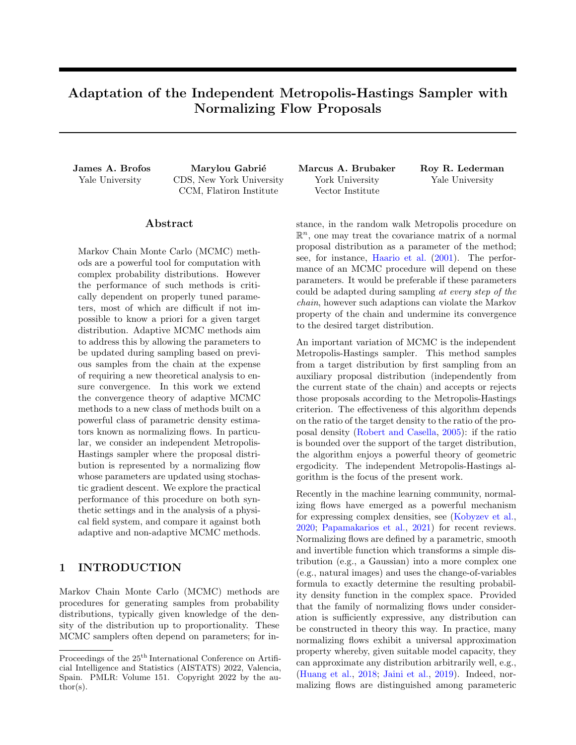given  $\tilde{\Pi}_{\theta_{n-1}}$ . Consider the adaptation

$$
\theta_n = \theta_{n-1} \quad \epsilon \cap \theta \log \frac{\tilde{\pi}_{\theta_{n-1}}(\tilde{X}(\theta_{n-1}))}{\pi(\tilde{X}(\theta_{n-1}))}, \quad (5)
$$

which can be interpreted as the single-sample approximation of the gradient flow of  $\mathbb{KL}(\tilde{\pi}_{\theta_{n-1}} k\pi)$ .  $k$ 

This motivates us to explore this direction. Definition [2.9](#page-3-2) and the continuous mapping theorem (see theorem [D.1\)](#page-17-1) leads immediately to the following result.

<span id="page-5-1"></span>**Lemma 4.2.** Suppose that the map  $\theta \nabla K_{\theta}$  is continuous and that the sequence  $(\Theta_0, \Theta_1, \ldots)$  converges in probability in Y. Then  $(K_0, K_1, \ldots)$  exhibits diminishing adaptation.

A proof is given in appendix [D.](#page-17-0) We now consider the question of the continuity of the mapping  $\theta \not\hspace{0.2em} \mathcal{V}$   $K_{\theta}$ .

<span id="page-5-2"></span>**Theorem 4.3.** Let  $(\theta_1, \theta_2, ...)$  be a Y-valued sequence converging to  $\theta$ . Let  $\pi$  be a probability density function on a space X and let  $\tilde{\pi}_{\theta}$  be a family of density functions on X indexed by  $\theta$  such that the map  $\theta \nabla \tilde{\pi}_{\theta}$ is continuous. Suppose further that  $\text{Supp}(\tilde{\pi}_{\theta}) = X$  for every  $\theta \supseteq Y$ . Let  $\Pi$  be the probability measure on  $B(X)$ with density  $\pi$  and let  $\tilde{\Pi}_{\theta}$  be the probability measure on  $B(X)$  with density  $\tilde{\pi}_{\theta}$ . Let  $K_{\theta}$  be the transition kernel of the independent Metropolis-Hastings sampler of Π given  $\tilde{\Pi}_{\theta}$ . Then  $\lim_{n \to \infty} K_{\theta_n} = K_{\theta}$  (i.e. the mapping  $\theta \not\in K_{\theta}$  is continuous).

A proof is given in appendix [D.](#page-17-0) When training normalizing flows, it is typical to apply stochastic gradient descent to the minimization of some loss function. The question of when the iterates of stochastic gradient descent converge is an important question that has been recently treated in the case of non-convex losses. We refer the interested reader to [Bottou](#page-8-3) [\(1999\)](#page-8-3); [Mertikopoulos et al.](#page-9-15) [\(2020\)](#page-9-15) for conditions and results guaranteeing the convergence of stochastic gradient descent. In practice, the convergence of the sequence of normalizing flow parameters can be further encouraged by a decreasing learning rate schedule. In appendix [N](#page-35-1) we discuss simultaneous uniform ergodicity on compact spaces and give some examples of normalizing flows works in these cases. The condition for geometric ergodicity of the independent Metropolis-Hastings sampler is that there exists  $M$  1 such that  $\pi(x)$  M  $\tilde{\pi}(x)$  for all  $x \geq \text{Supp}(\pi)$  where  $\pi$  is the density of the target distribution and  $\tilde{\pi}$  is the proposal density. By taking the logarithm of both sides and rearranging we obtain the equivalent inequality,  $\log \pi(x)$   $\log \tilde{\pi}(x)$   $\log M$  for all  $x \geq \text{Supp}(x)$ .

<span id="page-5-4"></span>**Proposition 4.4.** Suppose that every  $\theta \supseteq Y$  parameterizes a probability measure  $\tilde{\Pi}_{\theta}$  on  $\mathsf{B}(\mathsf{X})$  with density  $\tilde{\pi}_{\theta}$ . Let  $(\Theta_0, \Theta_1, \ldots)$  be a sequence of Y-valued random variables and consider the family of Markov chain

transition operators of the independent Metropolis-Hastings sampler of  $\Pi$  given  $\tilde{\Pi}$   $\sigma$  with transition kernels K  $_n$ . Suppose that for all  $\delta > 0$ , there exists  $M \cong M(\delta) \supseteq [1, 1]$  such that

<span id="page-5-3"></span>
$$
\Pr\left[\log \pi(x) \quad \log \tilde{\pi}_{n}(x) < \log M \quad \mathcal{S} \quad x \quad 2 \quad \mathcal{X}\right] \quad 1 \quad \delta,\tag{6}
$$

for all  $n \geq \mathbb{N}$ . Then,  $(\Theta_n)_{n \geq \mathbb{N}}$  exhibits containment.

A proof is given in appendix [F.](#page-21-0) Regarding the tail condition in eq. [\(6\)](#page-5-3), we note that the tail behaviour of the most popular normalizing flow architectures can be explicitly controlled, as shown by [Jaini et al.](#page-9-16) [\(2020\)](#page-9-16). Specifically, with Lipschitz triangular bijections (including most affine coupling flow implementations) the tail behaviour remains identical to that of the base measure. Thus, to ensure heavy tails in a flow one can simply replace the typical Gaussian base measure with a heavier tailed one, e.g., a Laplace or Studentt. An even stronger condition than eq.  $(6)$  is that  $\Pr[\log \pi(x) \quad \log \tilde{\pi}_{n}(x)] < \log M \quad \text{$\beta$} \quad x \geq X] \quad 1 \quad \delta.$ Thus, we see that containment can be obtained for the transition kernels of the independent Metropolis-Hastings sampler if, for every n,  $\log \tilde{\pi}$  n is within  $\log M$  of  $\log \pi$  with probability 1  $\delta$ . Note that M does not need to even be close to unity (equivalently,  $log M$  need not be close to zero) in order for containment to hold; it is sufficient merely that, with high probability, the sequence  $(\Theta_n)_{n\geq N}$  does not produce arbitrarily poor approximations of  $\log \pi$ .

The loss functions used in estimating normalizing flows are chosen to encourage closeness of the approximation and the target density. For instance, if one chooses to minimize  $\mathbb{KL}(\tilde{\pi}_{\theta}k\pi)$  as a function of  $\theta \geq Y$  then  $\mathbb{KL}(\tilde{\pi}_{\theta}k\pi) = 0$  ()  $\tilde{\pi}_{\theta} = \pi$ . The minimization of a loss function that encourages the closeness of the approximation and the target density is certainly no guarantee that eq.  $(6)$  holds; however, it gives an indication that eq.  $(6)$  might be true. We turn our attention in the next section to the empirical evaluation of adaptive samplers using normalizing flows. Some obstacles that could prevent the conditions of proposition [4.4](#page-5-4) from holding are stated in appendix [L.](#page-33-0)

<span id="page-5-0"></span>Example 3. Recently, Gabrié et al.  $(2021a,b)$  $(2021a,b)$  proposed to sample from Boltzmann distributions and posteriors over the parameters of physical systems by alternating between an independence Metropolis-Hastings algorithm whose proposal is represented as a RealNVP normalizing flow and local updates computed by the Metropolis-adjusted Langevin algorithm (MALA). In Gabrié et al.  $(2021a)$  the authors "demonstrate the importance of initializing the training with some a priori knowledge of the relevant modes." This incorporation of prior knowledge is done to avert mode-collapse. We can connect knowledge of modes to the property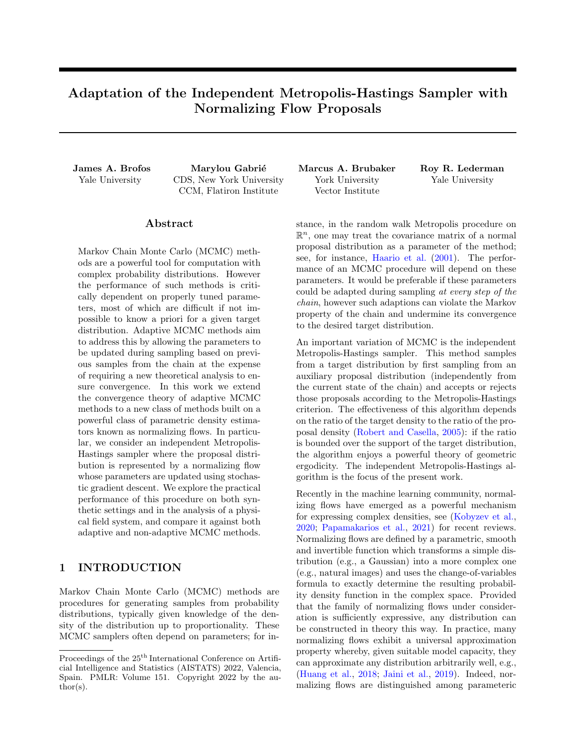of containment: by ensuring that the proposal density of the independent Metropolis-Hastings sampler places sufficient mass on all modes with high probability, one satisfies containment by proposition [4.4.](#page-5-4) The specific training procedure used by these samplers is to adapt parameters of the normalizing flow as  $\Theta_{n+1} = \Theta_n + \epsilon_n \frac{1}{n} \sum_{i=0}^n \Gamma \log \tilde{\pi}_{n}(X_i)$  where  $(X_i)_{i=0}^n$  are the states of the chain to the  $n^{\text{th}}$  step and  $(\epsilon_i)_{i=0}^n$ are a sequence of adaptation step-sizes. Because the states of the chain can only be regarded as approximate samples from the target distribution, we understand this update as seeking to update a "pseudolikelihood." Diminishing adaptation of this procedure can be enforced using either lemma [2.10](#page-3-4) or via convergence and continuity using lemma [4.2.](#page-5-1) When diminishing adaptation and containment are satisfied, this adaptative algorithm produces an ergodic chain by theorem [2.13.](#page-3-6)

#### <span id="page-6-0"></span>5 EXPERIMENTS

Here we evaluate the adaptive independent Metropolis-Hastings algorithm following the "pseudolikelihood objective", with non-independent adaptations, summarized in algorithm [1](#page-34-0) in appendix [M.](#page-34-1) As a baseline adaptive MCMC technique, we consider the random walk Metropolis method of [Haario et al.](#page-9-0) [\(2001\)](#page-9-0); we also compare against Langevin dynamics. To assess the ergodicity of samplers, we compare MCMC samples against analytic samples drawn from the target density, except in the case of the physical system wherein we use domain knowledge to compare against Langevin dynamics. Specifically, we choose 10,000 random unit vectors and project the samples of the adaptive chain onto the vector space spanned by the chosen unit vector; we then compare these one-dimensional quantities to the projection of the baseline samples from the target distribution and compute the two-sample Kolmogorov-Smirnov (KS) test statistic [\(Smirnov,](#page-10-2) [1948;](#page-10-2) [Cuesta-Albertos et al.,](#page-8-4) [2006\)](#page-8-4). In appendix [J,](#page-30-0) we show how adaptation can actually degrade sample quality at finite time.

Code implementing the experiments in the brownian bridge, the two-dimensional multimodal example, and the experiments of appendix [J](#page-30-0) can be found at [https://github.com/JamesBrofos/](https://github.com/JamesBrofos/Adaptive-Normalizing-Flow-Chains) [Adaptive-Normalizing-Flow-Chains](https://github.com/JamesBrofos/Adaptive-Normalizing-Flow-Chains).

#### 5.1 Affine Flows in a Brownian Bridge

We consider sampling from a Gaussian process with the following mean and covariance functions:  $\mu(t) =$  $\sin(\pi t)$  and  $\Sigma(t, s) = \min(t, s)$  st. For  $0 < t, s < 1$ , the covariance function identifies this distribution as a Brownian bridge whose mean is a sinusoid. We seek to sample this Gaussian process at 50 equally spaced times in the unit interval, yielding a fifty-dimensional target distribution. We estimate an affine normalizing flow from a Gaussian base distribution in order to sample from the target. Since the base distribution of the flow is Gaussian, and since affine transformations of Gaussian random variables remain Gaussian, in addition to the pseudo-likelihood training objective, we also consider gradient descent on the exact KL divergence between the target and the current proposal distribution. Minimization of the exact KL divergence is equivalent to maximum likelihood training, and therefore allows us to compare the efficiency lost by training with the pseudo-likelihood objective compared to the true likelihood. To enforce diminishing adaptation, we set a learning rate schedule for the gradient steps on the shift and scale of the affine transformation that converges to zero. In addition to Langevin dynamics, we also consider a preconditioned variant of the Metropolis-adjusted Langevin algorithm that uses the Hessian of the log-density to adapt proposals to the geometry of the target distribution [\(Giro](#page-9-18)[lami and Calderhead,](#page-9-18) [2011\)](#page-9-18). Results shown in fig. [2](#page-7-0) demonstrate the advantages of the adaptive independent Metropolis-Hastings samplers.

#### 5.2 Two-Dimensional Examples

We use a RealNVP architecture to model a multimodal distribution and Neal's funnel distribution, both in  $\mathbb{R}^2$ . The multimodal density is a mixture of two Gaussians with a shared covariance structure given by  $\Sigma = \text{diag}(1/100, 1/100)$ . The two means of the component Gaussians are  $(2, 2)$  and  $(2, 2)$ . Neal's funnel distribution is defined by generating  $v$  Normal $(0, 9)$ and x Normal $(0, e^{-v})$ , which defines a distribution in  $\mathbb{R}^2$ . To enforce diminishing adaptation, we set a learning rate schedule for the gradient steps on parameters of the RealNVP bijections that converges to zero. Results are shown in fig. [3.](#page-7-1) The expressivity of the RealNVP normalizing flow is key to building efficient proposals accommodating the distinct modes or the challenging multi-scale structure of Neal's funnel.

#### <span id="page-6-1"></span>5.3 Analysis of a Physical Field System

We finally revisit a high-dimensional bi-modal example: the  $1d-\phi^4$  system studied in Gabrié et al. [\(2021a\)](#page-9-10). The statistics of a field  $\phi : [0, 1]$  ! R are given by the Boltzmann weight  $e^{-\beta U}$  with the energy functional

$$
U(\phi) = \int_0^1 \left[ \frac{a}{2} (\partial_s \phi)^2 + \frac{1}{4a} \left( 1 - \phi^2(s) \right)^2 \right] ds, \quad (7)
$$

assuming boundary conditions  $\phi(0) = \phi(1) = 0$ . We discretize the field at 100 equally spaced locations between 0 and 1, for  $a = 0.1$  and  $\beta = 20$ . Examples of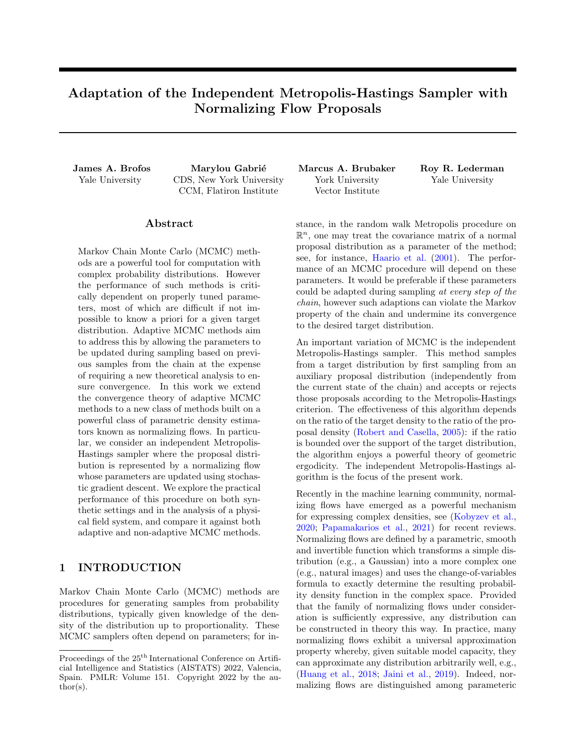<span id="page-7-0"></span>

Figure 2: Result of the Brownian bridge experiment. In assessing ergodicity according to the distribution of Kolmogorov-Smirnov statistics along random one-dimensional sub-spaces, the methods based on the independent Metropolis-Hastings algorithm and preconditioned Langevin dynamcis perform best. Langevin dynamics struggles in this posterior due to the multi-scale phenomena present in this distribution. In terms of the effective sample size per second of computation, the near-independent proposals and high acceptance rate of the independent Metropolis-Hastings sampler cause these algorithms to dominate. We also show the acceptance probability of the adaptive methods; we observe that the independent Metropolis-Hastings procedures enjoy adaptations that cause the acceptance probability to consistently improve over the course of learning.

<span id="page-7-1"></span>

Figure 3: Examination of the performance of MCMC methods on sampling from the multimodal mixture of Gaussians and Neal's funnel distribution. Both adaptive methods enjoy increasing acceptance rates in the multimodal distribution as a function of sampling iteration, but only the adaptive independent Metropolis-Hastings algorithm exhibits ergodicity for this distribution. Indeed, for the adaptive random walk and Langevin sampling methods, which are based on local updates, the multimodal distribution poses distinct challenges. In fact, both methods get stuck in one of the modes. By contrast, the adaptive independent Metropolis-Hastings samplers exhibit the best ergodicity of all methods considered. In Neal's funnel distribution, the adaptive independent Metropolis-Hastings algorithm possesses the best ergodicity.

states are plotted in fig.  $6$  of appendix [O.](#page-36-0) The algorithm proposed in Gabrié et al.  $(2021a)$  is adapted with a learning rate schedule enforcing diminishing adaptations and a mixture transition kernel stochastically choosing from local Langevin updates or proposal sampling from the normalizing flow (appendix [I](#page-28-0) shows that we can expect this mixture kernel to exhibit containment and diminishing adaption). Because the distribution is high-dimensional and multimodal, it is necessary<sup>[1](#page-7-2)</sup> to run multiple parallel walkers initialized around the different modes. In this specific case, the energy and the distributions are even functions of  $\phi$ . In the experiments, we initialize 100 walkers with uneven proportions in each mode (20-80) and test for the ergodicity of the parallel chains. Results are shown in fig. [4.](#page-8-5) Unlike the adaptive independent Metropolis-Hastings samplers, MALA single walkers are stuck in the mode they were initialized in and cannot recover the correct equal weights of the positive and negative mode. We also compare with the Jump Adaptive Multimodal Sampler (JAMS) of [Pompe et al.](#page-9-19) [\(2020\)](#page-9-19), using a MALA sampler for the local steps and

<span id="page-7-2"></span><sup>&</sup>lt;sup>1</sup>This necessity can be lifted by employing an auxiliary fixed set of "training samples" featuring the two modes, in arbitrary proportions. These samples would drive the learning towards relevant regions, so that a random walker

can then inform the adaption about the relative statistical weights of different modes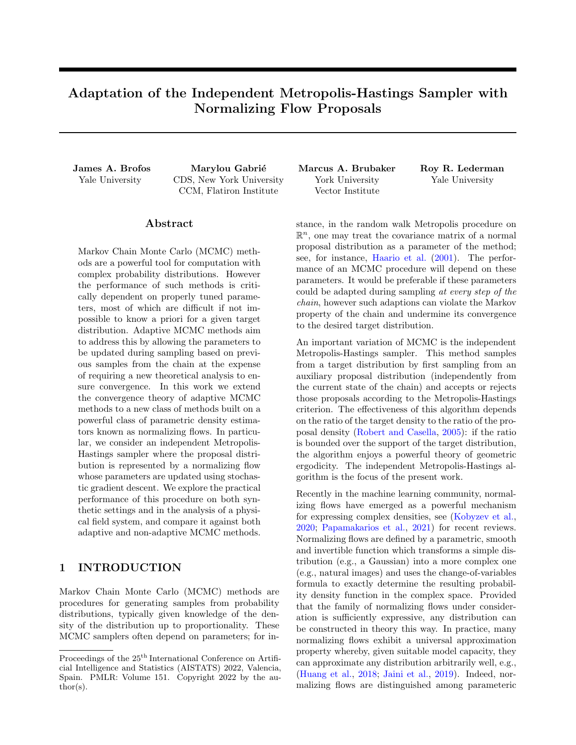<span id="page-8-5"></span>

Figure 4: Results of the  $\phi^4$  field experiment. As Langevin dynamics is unable to mix between the two modes, the better ergodicity of the independent Metropolis Hastings algorithm is reflected in Kolmogorov-Smirnov statistics as expected. The single chain Langevin has poorer ergodicity than its parallel chain equivalent, while for the I.M.H. a single chain approaches the ergodicity of the parallel setting. The Effective Sample Sizes are reported for chains of 1000 steps extracted at burn-in, after  $4 \times 10^4$  iterations (early) and (late) when the NF proposal acceptance probability has reached 50%. Note that periodic jumps in acceptance correspond to iterations where learning rate was decreased.

an adaptive Gaussian mixture for the jumps and report results for the best of 10 runs and a typical failed run where the chains collapsed in one mode. We observe a KS mean statistic of 0.12 for one chain (best of 10 runs), compared to a KS mean statistic of 0.024 for the normalizing flow IMH, with the same number of iterations. The acceptance rate of jumps in JAMS reaches around 40% while the IMH gets to 55%. Additional details can be found in appendix [O.](#page-36-0) Codes to reproduce this experiment can be found at [https:](https://github.com/marylou-gabrie/adapt-flow-ergo) [//github.com/marylou-gabrie/adapt-flow-ergo](https://github.com/marylou-gabrie/adapt-flow-ergo).

## 6 CONCLUSION

We have examined the question of when an adaptive independent Metropolis-Hastings sampler can be equipped with an ergodicity theory. We specifically consider the case wherein the proposal distribution is parameterized as a normalizing flow. We have considered the cases of deterministic adaptations, independent adaptations, and non-independent adaptations. For the non-independent adaptations case, we examine mechanisms by which to enforce the diminishing adaptation and containment conditions that together imply ergodicity.

#### Acknowledgements

M. G. would like to thank G. Rotskoff and E. Vanden-Eijnden for useful discussions about the physical field system experiments. We thank the Yale Center for Research Computing for use of the research computing infrastructure. This material is based upon work supported by the National Science Foundation Graduate Research Fellowship under Grant No. 1752134. Any opinion, findings, and conclusions or recommendations expressed in this material are those of the authors(s) and do not necessarily reflect the views of the National Science Foundation. MAB was supported by an NSERC Discovery Grant and as part of the Vision: Science to Applications program, thanks in part to funding from the Canada First Research Excellence Fund. The work is also supported in part by NIH/NIGMS 1R01GM136780-01 and AFSOR FA9550-21-1-0317.

#### References

- <span id="page-8-1"></span>Albergo, M. S., Kanwar, G., and Shanahan, P. E. (2019). Flow-based generative models for Markov chain Monte Carlo in lattice field theory. Physical Review D, 100(3):034515.
- <span id="page-8-2"></span>Andrieu, C. and Moulines, É. (2006). On the ergodicity properties of some adaptive MCMC algorithms. The Annals of Applied Probability,  $16(3):1462$  – 1505.
- <span id="page-8-0"></span>Bai, Y., Roberts, G., and Rosenthal, J. (2011). On the containment condition for adaptive markov chain monte carlo algorithms. Adv. Appl. Stat., 21.
- <span id="page-8-6"></span>Berglund, N., Gesù, G. D., and Weber, H. (2017). An Eyring–Kramers law for the stochastic Allen–Cahn equation in dimension two. Electronic Journal of Probability, 22(none):1–27.
- <span id="page-8-3"></span>Bottou, L. (1999). On-line Learning and Stochastic Approximations, page 9–42. Publications of the Newton Institute. Cambridge University Press.
- <span id="page-8-4"></span>Cuesta-Albertos, J., Fraiman, R., and Ransford, T. (2006). Random projections and goodness-of-fit tests in infinite-dimensional spaces. Bulletin Brazilian Mathematical Society, 37:477–501.
- <span id="page-8-7"></span>Dinh, L., Sohl-Dickstein, J., and Bengio, S. (2017).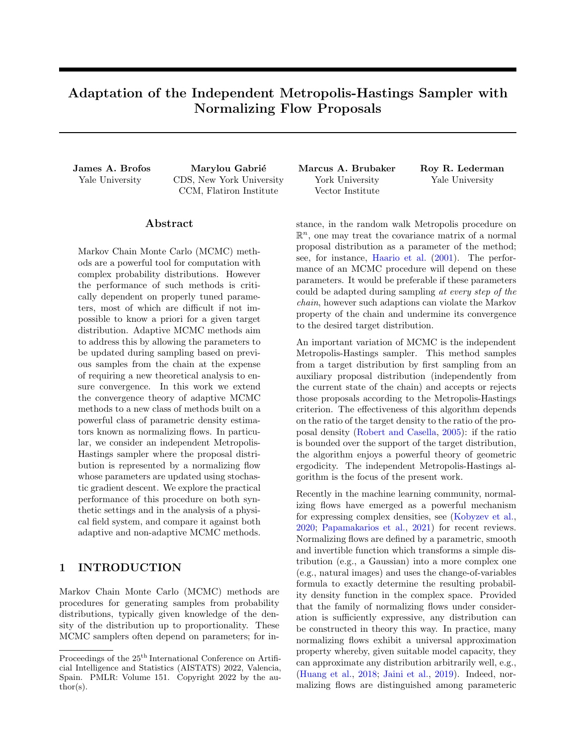Density estimation using real NVP. In 5th International Conference on Learning Representations, ICLR 2017, Toulon, France, April 24-26, 2017, Conference Track Proceedings. OpenReview.net.

- <span id="page-9-24"></span>Falorsi, L., de Haan, P., Davidson, T. R., and Forré, P. (2019). Reparameterizing distributions on lie groups. In Chaudhuri, K. and Sugiyama, M., editors, Proceedings of the Twenty-Second International Conference on Artificial Intelligence and Statistics, volume 89 of Proceedings of Machine Learning Research, pages 3244–3253. PMLR.
- <span id="page-9-10"></span>Gabrié, M., Rotskoff, G. M., and Vanden-Eijnden, E. (2021a). Adaptive monte carlo augmented with normalizing flows.
- <span id="page-9-17"></span>Gabrié, M., Rotskoff, G. M., and Vanden-Eijnden, E. (2021b). Efficient bayesian sampling using normalizing flows to assist markov chain monte carlo methods. In ICML Workshop on Invertible Neural Networks, Normalizing Flows, and Explicit Likelihood Models.
- <span id="page-9-18"></span>Girolami, M. and Calderhead, B. (2011). Riemann manifold langevin and hamiltonian monte carlo methods. Journal of the Royal Statistical Society: Series B (Statistical Methodology), 73(2):123–214.
- <span id="page-9-0"></span>Haario, H., Saksman, E., and Tamminen, J. (2001). An adaptive Metropolis algorithm. Bernoulli,  $7(2):223 - 242.$
- <span id="page-9-11"></span>Hackett, D. C., Hsieh, C.-C., Albergo, M. S., Boyda, D., Chen, J.-W., Chen, K.-F., Cranmer, K., Kanwar, G., and Shanahan, P. E. (2021). Flow-based sampling for multimodal distributions in lattice field theory. arXiv preprint, 2107.00734.
- <span id="page-9-12"></span>Hoffman, M., Sountsov, P., Dillon, J. V., Langmore, I., Tran, D., and Vasudevan, S. (2019). Neutra-lizing bad geometry in hamiltonian monte carlo using neural transport.
- <span id="page-9-13"></span>Holden, L., Hauge, R., and Holden, M. (2009). Adaptive independent Metropolis–Hastings. The Annals of Applied Probability,  $19(1):395 - 413$ .
- <span id="page-9-3"></span>Huang, C.-W., Krueger, D., Lacoste, A., and Courville, A. (2018). Neural autoregressive flows. In Dy, J. and Krause, A., editors, *Proceedings of the* 35th International Conference on Machine Learning, volume 80 of Proceedings of Machine Learning Research, pages 2078–2087. PMLR.
- <span id="page-9-16"></span>Jaini, P., Kobyzev, I., Yu, Y., and Brubaker, M. (2020). Tails of Lipschitz triangular flows. In III, H. D. and Singh, A., editors, Proceedings of the 37th International Conference on Machine Learning, volume 119 of Proceedings of Machine Learning Research, pages 4673–4681. PMLR.
- <span id="page-9-4"></span>Jaini, P., Selby, K. A., and Yu, Y. (2019). Sum-ofsquares polynomial flow.
- <span id="page-9-1"></span>Kobyzev, I., Prince, S., and Brubaker, M. (2020). Normalizing flows: An introduction and review of current methods. IEEE Transactions on Pattern Analysis and Machine Intelligence, page 1–1.
- <span id="page-9-6"></span>Kolmogorov, A. N. (1960). Foundations of the Theory of Probability. Chelsea Pub Co, 2 edition.
- <span id="page-9-21"></span>Lebanon, G. (2017). Probability. Online manuscript.
- <span id="page-9-22"></span>Maire, F., Friel, N., Mira, A., and Raftery, A. E. (2019). Adaptive incremental mixture markov chain monte carlo. Journal of Computational and Graphical Statistics, 28(4):790–805.
- <span id="page-9-15"></span>Mertikopoulos, P., Hallak, N., Kavis, A., and Cevher, V. (2020). On the almost sure convergence of stochastic gradient descent in non-convex problems. In Larochelle, H., Ranzato, M., Hadsell, R., Balcan, M. F., and Lin, H., editors, Advances in Neural Information Processing Systems, volume 33, pages 1117–1128. Curran Associates, Inc.
- <span id="page-9-5"></span>Meyn, S. and Tweedie, R. (1993). Markov Chains and Stochastic Stability. Springer-Verlag, London.
- <span id="page-9-9"></span>Naesseth, C. A., Lindsten, F., and Blei, D. (2020). Markovian score climbing: Variational inference with  $KL(p\text{---}q)$ . Advances in Neural Information Processing Systems, 2020-December(MCMC).
- <span id="page-9-8"></span>Nicoli, K. A., Anders, C. J., Funcke, L., Hartung, T., Jansen, K., Kessel, P., Nakajima, S., and Stornati, P. (2021). Estimation of Thermodynamic Observables in Lattice Field Theories with Deep Generative Models. Physical Review Letters, 126(3):32001.
- <span id="page-9-7"></span>Nicoli, K. A., Nakajima, S., Strodthoff, N., Samek, W., Müller, K. R., and Kessel, P. (2020). Asymptotically unbiased estimation of physical observables with neural samplers. *Physical Review E*, 101(2).
- <span id="page-9-2"></span>Papamakarios, G., Nalisnick, E., Rezende, D. J., Mohamed, S., and Lakshminarayanan, B. (2021). Normalizing flows for probabilistic modeling and inference.
- <span id="page-9-14"></span>Parno, M. D. and Marzouk, Y. M. (2018). Transport map accelerated markov chain monte carlo. SIAM/ASA Journal on Uncertainty Quantification, 6(2):645–682.
- <span id="page-9-20"></span>Pollard, D. (2001). A User's Guide to Measure Theoretic Probability. Cambridge Series in Statistical and Probabilistic Mathematics. Cambridge University Press.
- <span id="page-9-19"></span>Pompe, E., Holmes, C., and Latuszyński, K. (2020). A framework for adaptive mcmc targeting multimodal distributions. Annals of Statistics, 48(5):2930–2952.
- <span id="page-9-23"></span>Rezende, D. J., Papamakarios, G., Racanière, S., Albergo, M. S., Kanwar, G., Shanahan, P. E., and Cranmer, K. (2020). Normalizing flows on tori and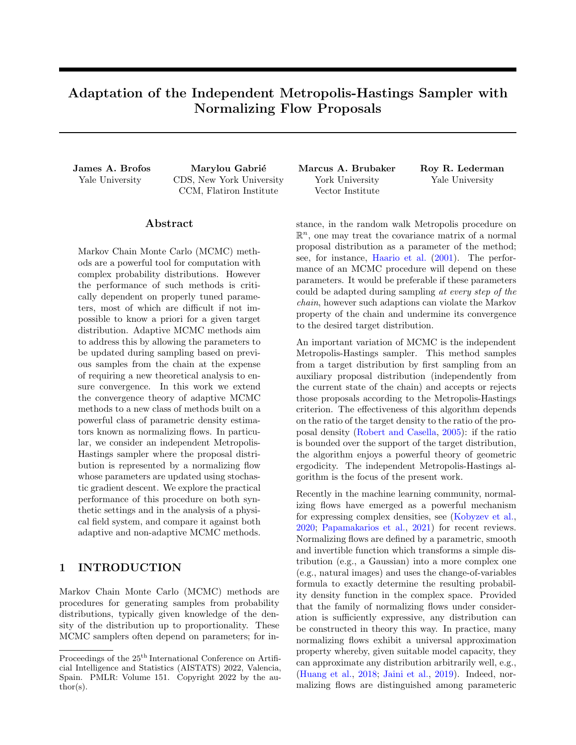spheres. In Proceedings of the 37th International Conference on Machine Learning, ICML 2020, 13- 18 July 2020, Virtual Event, volume 119 of Proceedings of Machine Learning Research, pages 8083– 8092. PMLR.

- <span id="page-10-0"></span>Robert, C. P. and Casella, G. (2005). Monte Carlo Statistical Methods (Springer Texts in Statistics). Springer-Verlag, Berlin, Heidelberg.
- <span id="page-10-3"></span>Roberts, G. and Rosenthal, J. (2004). General state space markov chains and mcmc algorithms. Probability Surveys, 1.
- <span id="page-10-1"></span>Roberts, G. O. and Rosenthal, J. S. (2007). Coupling and ergodicity of adaptive markov chain monte carlo algorithms. Journal of Applied Probability, 44(2):458–475.
- <span id="page-10-4"></span>Royden, H. L. (1968). Real analysis [by] H. L. Royden. Macmillan, New York, 2d ed. edition.
- <span id="page-10-2"></span>Smirnov, N. (1948). Table for Estimating the Goodness of Fit of Empirical Distributions. The Annals of Mathematical Statistics, 19(2):279 – 281.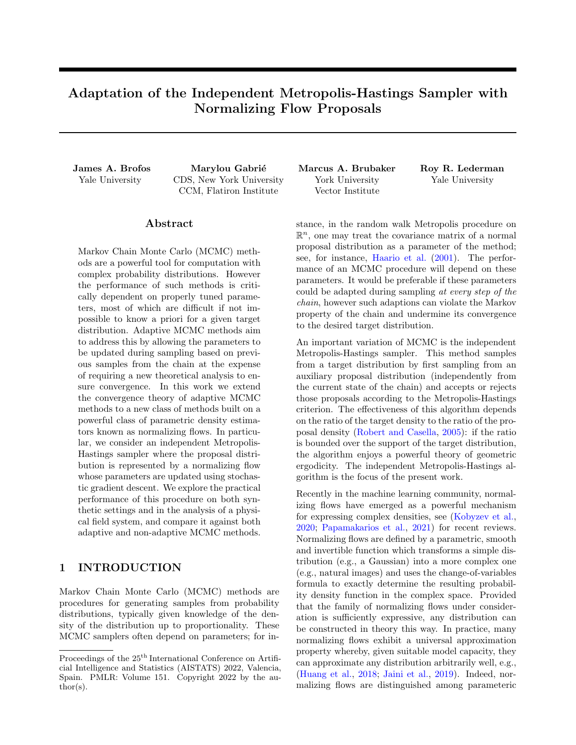# Supplementary Material: Adaptation of the Independent Metropolis-Hastings Sampler with Normalizing Flow Proposals

# <span id="page-11-0"></span>A Review of Total Variation Distance

<span id="page-11-1"></span>Similarity of probability measures can be assessed with respect to several criteria. A ubiquitous notion of distance between probability measures is given by the total variation norm of their difference. Definition A.1. Let  $\nu_1$  and  $\nu_2$  be probability measures on  $(X, B(X))$ . Then the total variation distance between  $\nu_1$  and  $\nu_2$  is defined by,

$$
k\nu_1(\ )\quad \nu_2(\ )k_{\mathsf{TV}} = 2 \sup_{A \geq B(\mathsf{X})} j\nu_1(A) \quad \nu_2(A)j. \tag{8}
$$

The total variation distance is easily verified to be a proper distance in that it satisfies non-negativity, discernability, symmetry, and the triangle inequality. The total variation distance can therefore be understood as the largest possible disagreement between the probabilities assigned to any measurable set by  $\nu_1$  and  $\nu_2$ . The total variation norm has the following equivalent representations which are occasionally useful.

**Proposition A.2.** Within the context of definition [A.1,](#page-11-1) the total variation distance between  $\nu_1$  and  $\nu_2$  is equivalently expressed as,

$$
k\mu k_{\mathsf{TV}} = \sup_{f \ge \mathcal{M}} \left| \int_{X} f(x) \, \nu_1(\mathrm{d}x) \, \int_{X} f(x) \, \nu_2(\mathrm{d}x) \right| \tag{9}
$$

where  $\mathcal{M} \stackrel{\text{def.}}{=} ff : X \text{! } \mathbb{R} \text{ s.t. } jf(x)j \quad 1 \text{ } \mathcal{B} \text{ } x \text{ } 2 \text{ } Xg.$ 

For a proof of this result, and other equivalent characterizations of the total variation distance, we refer the interested reader to [Roberts and Rosenthal](#page-10-3) [\(2004\)](#page-10-3); [Pollard](#page-9-20) [\(2001\)](#page-9-20).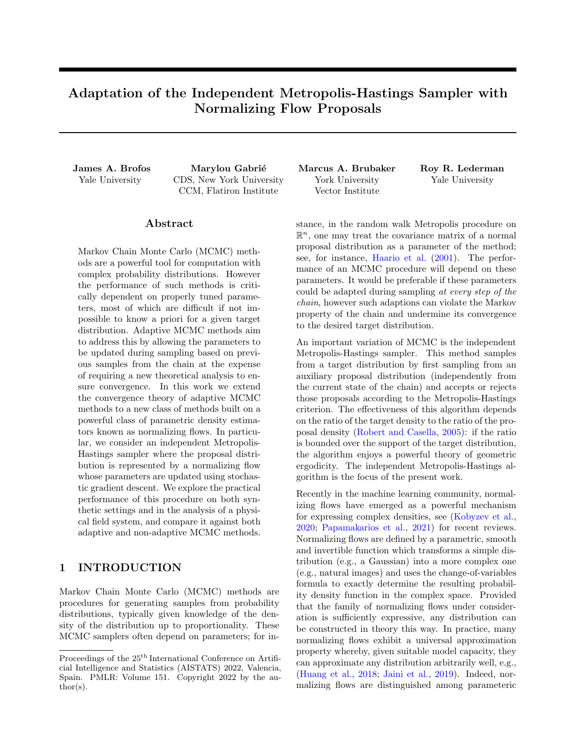### <span id="page-12-0"></span>B Proofs Concerning Deterministic Adaptations

<span id="page-12-4"></span>**Proposition B.1** [\(Roberts and Rosenthal](#page-10-1) [\(2007\)](#page-10-1)). Suppose that  $(\theta_0, \theta_1, \ldots)$  is a deterministic Y-valued sequence. Let  $(K_{\theta_n})_{n\geq N}$  be an associated sequence of Markov transition kernels. If  $\Pi$  is stationary for each  $K_{\theta_n}$ , then  $\Pi$  is also the stationary distribution of the Markov chain whose transitions satisfy  $X_{n+1}$   $K_{\theta_n}(X_n)$ .

*Proof.* Let  $A \supseteq B(X)$  and suppose  $X_n$   $\Pi$ . We will show  $X_{n+1}$   $\Pi$ .

$$
\Pr\left[X_{n+1} \ 2 \ A\right] = \int_{X} \Pr\left[X_{n+1} \ 2 \ A / X_n = x\right] \ \Pr\left[X_n \ 2 \ \mathrm{d}x\right] \tag{10}
$$

$$
= \int_{X} \int_{Y} \Pr\left[X_{n+1} \ 2 \ A_j X_n = x, \Theta_n = \theta\right] \ \delta_{\theta_n}(\mathrm{d}\theta) \ \Pr\left[X_n \ 2 \ \mathrm{d}x\right] \tag{11}
$$

$$
= \int_{X} K_{\theta_n}(x, A) \Pr[X_n \ 2 \, \mathrm{d}x] \tag{12}
$$

$$
=\mathop{\mathbb{E}}\limits_{x} [K_{\theta_n}(x,A)] \tag{13}
$$

$$
= \Pi(A). \tag{14}
$$

<span id="page-12-1"></span> $\Box$ 

**Lemma B.2.** For each  $n \geq N$ ,

$$
K_{\theta_n}(x, \mathrm{d}x^{\theta}) = \frac{\pi (x^{\theta})}{M_n} \mu(\mathrm{d}x^{\theta}).
$$
\n(15)

Proof. From eq. [\(2\)](#page-2-2),

$$
K_{\theta_{\rho}}(x, dx^{\theta}) \quad \min\left\{1, \frac{\pi(x^{\theta})\tilde{\pi}_{\theta_{\rho}}(x)}{\pi(x)\tilde{\pi}_{\theta_{\rho}}(x^{\theta})}\right\} \tilde{\pi}_{\theta_{\rho}}(x^{\theta}) \mu(dx^{\theta}) \tag{16}
$$

$$
= \min\left\{\tilde{\pi}_{\theta_n}(x^{\theta}), \frac{\pi(x^{\theta})\tilde{\pi}_{\theta_n}(x)}{\pi(x)}\right\} \mu(\mathrm{d}x^{\theta}) \tag{17}
$$

$$
\min\left\{\tilde{\pi}_{\theta_n}(x^{\theta}), \frac{\pi(x^{\theta})}{M_n}\right\} \mu(\mathrm{d}x^{\theta})\tag{18}
$$

$$
=\frac{\pi(x^{\theta})}{M_n} \mu(\mathrm{d}x^{\theta})
$$
\n(19)

 $\Box$ 

<span id="page-12-3"></span> $\Box$ 

<span id="page-12-2"></span>Corollary B.3. For any set  $A \supseteq B(X)$ 

$$
K_{\theta_n}(x, A) \quad \frac{1}{M_n} \Pi(A). \tag{20}
$$

Proof. Integrate both sides of eq. [\(15\)](#page-12-1) over the set A.

*Proof of Theorem [4.1.](#page-4-2)* From corollary [B.3](#page-12-2) it follows that we may express the transition kernel at step  $n \geq \mathbb{N}$  as

$$
K_{\theta_n}(x, A) = \frac{1}{M_n} \Pi(A) + \left(1 - \frac{1}{M_n}\right) \underbrace{\frac{K_{\theta_n}(x, A) - \frac{1}{M_n} \Pi(A)}{1 - \frac{1}{M_n}}}_{K_n(x, A)}
$$
(21)

$$
=\frac{1}{M_n}\Pi(A) + \left(1 - \frac{1}{M_n}\right)\tilde{K}_{\theta_n}(x, A),\tag{22}
$$

where  $\tilde{K}_{\theta_n}(x, A)$  is another probability measure. With eq. [\(22\)](#page-12-3),  $K_{\theta_n}$  may be given the following interpretation: With probability  $1/M_n$  generate the next state by the distribution  $\Pi$  and with probability  $1 \quad 1/M_n$  generate the next state from the distribution  $\tilde{K}_{\theta_p}$ . Given an initial state  $X_0 = x_0$ , consider the Markov chain whose transitions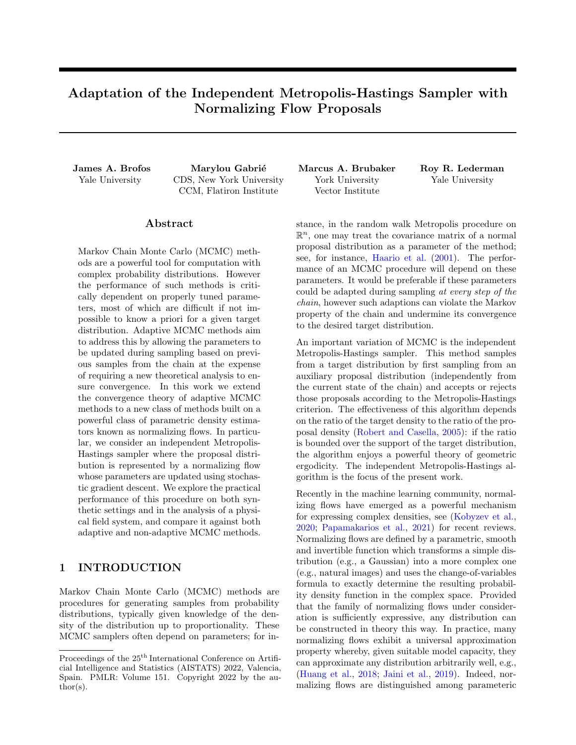are generated according to  $X_{n+1}$   $K_{\theta_n}(X_n)$ , with marginal laws  $X_n$   $K^n(x_0, )$ . From the representation in eq. [\(22\)](#page-12-3) and proposition [B.1,](#page-12-4) it follows that the total variation distance is zero as soon as we generate the next state from Π. Let T be the random variable representing the first step at which  $X_n$  is generated from Π. Then  $K^{n}(x_{0},) = \Pr[T \mid n] \Pi( ) + \Pr[T > n] \tilde{K}^{n}(x_{0},),$  where  $\tilde{K}^{n}$  is the mixture component of  $K^{n}$  that is possibly not Π. Thus,

$$
kK^{n}(x_{0}, \cdot) \quad \Pi(\cdot)k_{\mathsf{TV}} = k\Pr\left[T - n\right]\Pi(\cdot) + \Pr\left[T > n\right]\tilde{K}^{n}(x_{0}, \cdot) \quad \Pi(\cdot)k_{\mathsf{TV}} \tag{23}
$$

$$
= k \Pr[T > n] \tilde{K}^n(x_0, ) \quad \Pr[T > n] \Pi( ) k_{\text{TV}} \tag{24}
$$

$$
= \Pr\left[T > n\right] \quad k\tilde{K}^n(x_0, \cdot) \quad \Pi(\cdot)k_{\mathsf{TV}} \tag{25}
$$

$$
2\prod_{i=0}^{n-1} \left(1 - \frac{1}{M_i}\right),\tag{26}
$$

since  $T > n$  only if we generate the next state from  $\tilde{K}_{\theta_i}$  for  $i = 1, ..., n-1$ , each of which occurs with probability  $1 \quad 1/M_i.$  $\Box$ 

<span id="page-13-0"></span>**Proposition B.4.** Suppose that  $(\theta_0, \theta_1, \ldots)$  is a deterministic Y-valued sequence. Let  $(K_{\theta_n})_{n \geq N}$  be an associated sequence of Markov transition kernels. If  $\Pi$  is stationary for each  $K_{\theta_n}$ , then

$$
kK^{n+1}(x_0, ) \quad \Pi(\ )k_{\mathsf{TV}} \quad kK^n(x_0, ) \quad \Pi(\ )k_{\mathsf{TV}}, \tag{27}
$$

where  $K^n$  is defined in eq. [\(3\)](#page-3-5).

Proof.

$$
kK^{n+1}(x_0, ) \quad \Pi(\ )k_{\mathsf{TV}} = \sup_{f \ge \mathcal{M}} \left| \int_X f(y) K^{n+1}(x_0, \mathrm{d}y) \right| \int_X f(y) \Pi(\mathrm{d}y) \right| \tag{28}
$$

$$
= \sup_{f \ge \mathcal{M}} \left| \int_{X} f(y) K^{n+1}(x_0, \mathrm{d}y) - \int_{X} f(y) \int_{X} K_{\theta_n}(w, \mathrm{d}y) \Pi(\mathrm{d}w) \right| \tag{29}
$$

$$
= \sup_{f \geq 1/\sqrt{2}} \left| \int_{X} f(y) \int_{X} K^{n}(x_{0}, \mathrm{d}w) K_{\theta_{n}}(w, \mathrm{d}y) - \int_{X} f(y) \int_{X} K_{\theta_{n}}(w, \mathrm{d}y) \Pi(\mathrm{d}w) \right| \tag{30}
$$

$$
= \sup_{f \ge \mathcal{M}} \left| \int_{X} \left( \int_{X} f(y) K_{\theta_{n}}(w, dy) \right) K^{n}(x_{0}, dw) - \int_{X} \left( \int_{X} f(y) K_{\theta_{n}}(w, dy) \right) \Pi(dw) \right| \tag{31}
$$

$$
\sup_{f \ge \mathcal{M}} \left| \int_{X} f(w) K^{n}(x_{0}, \mathrm{d}w) - \int_{X} f(w) \Pi(\mathrm{d}w) \right| \tag{32}
$$

$$
= kK^{n}(x_{0},) \quad \Pi(\ )k_{\mathsf{TV}}.\tag{33}
$$

 $\Box$ 

<span id="page-13-1"></span>Definition B.5. Let Π be a probability measure with density π. Suppose that every  $\theta$  2 Y parameterizes a probability measure  $\tilde{\Pi}_{\theta}$  on  $B(X)$  with density  $\tilde{\pi}_{\theta}$ . Define the ergodic set of  $\Pi$  given Y as

 $Q = \mathit{f\theta} \; 2 \; Y$ : there exists  $M_{\theta} < 1$  such that  $\pi(x)$   $M_{\theta} \tilde{\pi}_{\theta}(x)$   $\theta$  x  $2 \text{Supp}(\pi)g$ . (34)

<span id="page-13-2"></span>The combination of proposition [B.4](#page-13-0) and definition [B.5](#page-13-1) allows one to give a slight generalization of theorem [4.1.](#page-4-2) Corollary B.6. Let  $\Pi$  be a probability measure with density  $\pi$ . Suppose that every  $\theta$  2 Y parameterizes a probability measure  $\tilde{\Pi}_{\theta}$  on  $B(X)$  with density  $\tilde{\pi}_{\theta}$ . Suppose that  $(\theta_0, \theta_1, \ldots)$  is a deterministic Y-valued sequence. Let  $(K_{\theta_n})_{n\geq N}$  be an associated sequence of Markov transition kernels of the independent Metropolis-Hastings sampler of  $\Pi$  given  $\tilde{\Pi}_{\theta_n}$ . Let  $K^n(x_0, A)$  denote the n-step transition probability from  $x_0$  to  $A \supseteq B(X)$ . Then

$$
kK^{n}(x_{0},) \quad \Pi(\ )k_{\mathsf{TV}} \quad 2\prod_{i=0}^{n-1}(1-L_{i}), \qquad (35)
$$

where

$$
L_i = \begin{cases} \frac{1}{M_i} & \text{if } \theta_i \ 2 \ Q \\ 0 & \text{otherwise.} \end{cases}
$$
 (36)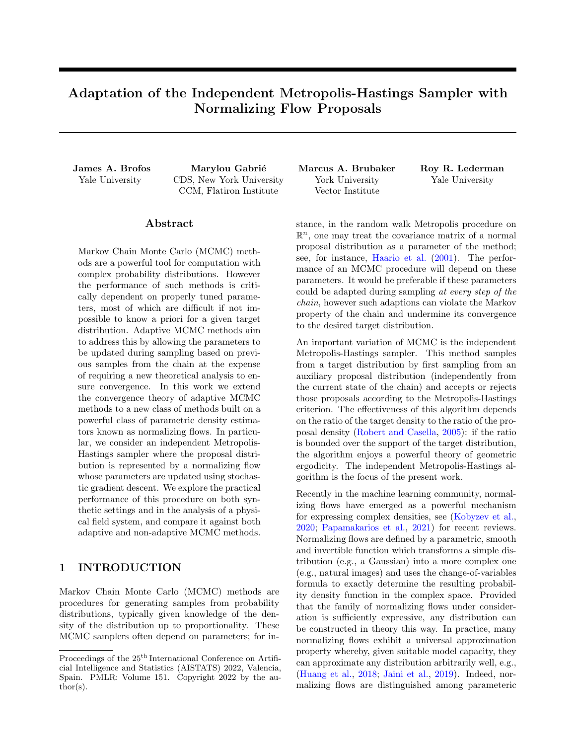*Proof.* The proof proceeds by induction. If  $\theta_0 \supseteq Q$  then by argument in the proof of theorem [4.1](#page-4-2) we have

$$
kK^{1}(x_{0}, \cdot) \quad \Pi(\cdot)k_{\mathsf{TV}} = kK_{\theta_{0}}(x_{0}, \cdot) \quad \Pi(\cdot)k_{\mathsf{TV}} \tag{37}
$$

$$
2\left(1-\frac{1}{M_0}\right). \tag{38}
$$

If  $\theta_0 \not\in Q$  then we obtain the vacuously true inequality  $kK^1(x_0, )$   $\Pi(\ )k_{\mathsf{TV}}$  1. Now assume that  $kK^n(x_0, )$  $\Pi(\)$ k<sub>TV</sub>  $\prod_{i=0}^{n-1} (1 - L_i)$ . If  $\theta_n \otimes \mathcal{Q}$  then by proposition [B.4](#page-13-0) we have

$$
kK^{n+1}(x_0, ) \quad \Pi(\ )k_{\mathsf{TV}} \quad kK^n(x_0, ) \quad \Pi(\ )k_{\mathsf{TV}} \tag{39}
$$

$$
2\prod_{i=0}^{n-1}(1-L_i)
$$
\n(40)

$$
=2\prod_{i=0}^{n-1}(1-L_i) 1
$$
\n(41)

$$
=2\prod_{i=0}^{n}(1-L_i),
$$
\n(42)

since  $L_n = 0$ . On the other hand, if  $\theta_n \geq 0$  then, using the same argument as in the proof of theorem [4.1,](#page-4-2) the probability that none of  $(X_0, \ldots, X_n)$  were drawn from  $\Pi$  is at most

$$
\prod_{i=0}^{n-1} (1 L_i). \tag{43}
$$

Correspondingly, the probability that  $X_{n+1}$  is also not drawn from  $\Pi$  is  $1 \quad 1/M_n$  so that the probability that none of  $(X_0, \ldots, X_n, X_{n+1})$  is drawn from  $\Pi$  is at most

$$
\left(1 - \frac{1}{M_n}\right) \prod_{i=0}^{n-1} (1 - L_i) = \prod_{i=0}^{n} (1 - L_i).
$$
\n(44)

From this the conclusion follows.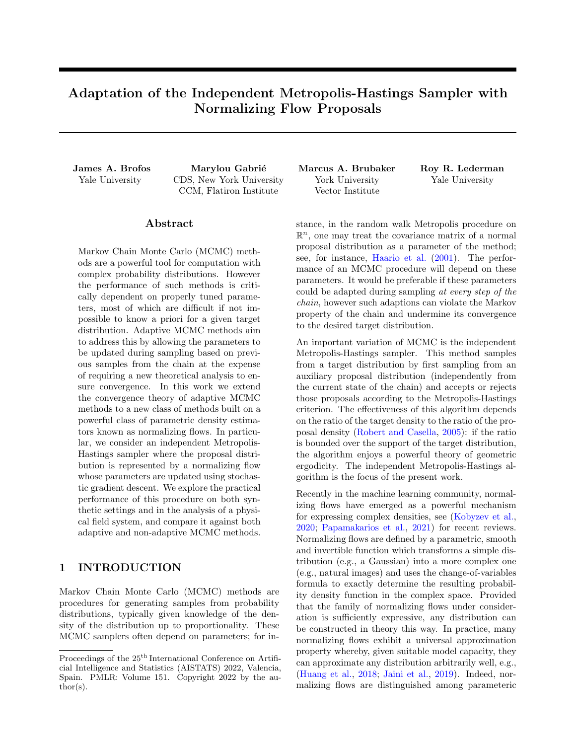#### <span id="page-15-0"></span>C Proofs Concerning Independent Adaptations

<span id="page-15-2"></span>**Theorem C.1.** Let  $\Pi$  be a probability measure with density  $\pi$ . Suppose that every  $\theta \geq Y$  parameterizes a probability measure  $\tilde{\Pi}_{\theta}$  on  $B(X)$  with density  $\tilde{\pi}_{\theta}$ . Suppose that  $(\Theta_0, \Theta_1, \ldots)$  is a stochastic Y-valued sequence. Let  $(K_n)_{n\geq N}$  be an associated sequence of Markov transition kernels of the independent Metropolis-Hastings sampler of  $\Pi$  given  $\tilde{\Pi}$  <sub>n</sub>. Suppose that  $X_n$  and  $\Theta_n$  are independent given the history of the chain to step n 1. Let  $G<sup>n</sup>(x<sub>0</sub>, A)$  be the associated marginal transition law. Then

$$
kG^{n}(x_{0},) \prod(\ )k_{\mathsf{TV}} \quad 2 \underset{(-0,\ldots,-n-1)}{\mathbb{E}} \left[ \prod_{i=0}^{n-1} (1-L_{i}) \right] \tag{45}
$$

where  $L_i = 1/M_i$  if  $M_i < 1$  and otherwise  $L_i = 0$ .

A proof is given in appendix [C.](#page-15-0) This result was previously demonstrated in [Holden et al.](#page-9-13) [\(2009\)](#page-9-13), though we have offered a different proof procedure.

Example 4. Let  $\Pi$  be a probability measure with density  $\pi$ . Let  $Y = \mathbb{R}^m$  and suppose that every  $\theta \geq Y$  smoothly parameterizes a probability measure  $\Pi$  on  $B(X)$  with density  $\tilde{\pi}_{\theta}$  for which  $\text{Supp}(\pi) = \text{Supp}(\tilde{\pi}_{\theta})$ . Consider the sequence of updates,

$$
\theta_n = \theta_{n-1} \quad \epsilon \cap \theta \left( \frac{1}{s} \sum_{i=1}^s \log \frac{\tilde{\pi}_{\theta_{n-1}}(Y_s(\theta_{n-1}))}{\pi(Y_s(\theta_{n-1}))} \right) \tag{46}
$$

where  $Y_1, \ldots, Y_s$  i.i.d.  $\tilde{\Pi}_{\theta_{n-1}}$ . This corresponds to the stochastic gradient approximation of example [1.](#page-4-4) Consider the family of Markov chain transition operators of the independent Metropolis-Hastings sampler of Π given  $\tilde{\Pi}_{\theta_n}$  with transition kernels  $K_{\theta_n}$ . Then  $\Pi$  is the stationary distribution of the Markov chain whose transitions satisfy  $X_{n+1}$   $K_{\theta_n}(X_n)$ . To see this, let  $\tilde{X}$  be a sample from  $\tilde{\Pi}_{\theta_{n-1}}$  independent of  $(Y_1,\ldots,Y_s)$  and let U Uniform $(0, 1)$  be independent of both. Then  $X_n = g(x_{n-1}, \theta_{n-1}, \tilde{X}, U)$  where g is given by,

$$
g(x, \theta, \tilde{x}, u) = \begin{cases} \tilde{x} & \text{if } u < \min\left\{1, \frac{\pi(x)\pi(x)}{\pi(x)\pi(x)}\right\} \\ x & \text{otherwise} \end{cases}
$$
(47)

and  $\Theta_n = f(\theta_{n-1}, Y_1, \ldots, Y_s)$  where f is given by,

$$
f(\theta, y_1(\theta), \dots, y_s(\theta)) = \theta \quad \epsilon \cap \theta \left( \frac{1}{s} \sum_{i=1}^s \log \frac{\tilde{\pi}_{\theta}(y_s(\theta))}{\pi(y_s(\theta))} \right). \tag{48}
$$

By lemma [C.2,](#page-15-1)  $\Theta_n$  and  $X_n$  are independent given the history of the chain to step n 1 and therefore, by proposition [J.1,](#page-30-1)  $\Pi$  is the stationary distribution.  $k$ 

<span id="page-15-1"></span>**Lemma C.2.** Suppose that  $(X_1^{(a)},...,X_r^{(a)})$  and  $(X_1^{(b)},...,X_s^{(b)})$  are two sets of random variables which are independent given the history of the chain to step n 1. Suppose that  $\Theta_n = f(x_{n-1}, \theta_{n-1}, X_1^{(a)}, \ldots, X_r^{(a)})$  and  $X_n = g(x_{n-1}, \theta_{n-1}, X_1^{(b)}, \ldots, X_s^{(b)})$  for two functions f and g. Then  $X_n$  and  $\Theta_n$  are independent given the history of the chain to step  $n \quad 1$ .

*Proof.* The  $\sigma$ -algebra generated by  $\Theta_n$  is a subset of the  $\sigma$ -algebra generated by  $(X_1^{(a)},...,X_r^{(a)})$ . Likewise, the σ-algebra generated by  $X_n$  is a subset of the σ-algebra generated by  $(X_1^{(b)},...,X_s^{(b)})$ . Since  $(X_1^{(a)},...,X_r^{(a)})$  and  $(X_1^{(b)},...,X_s^{(b)})$  are assumed independent given the history of the chain to step  $n-1$ , the conclusion follows.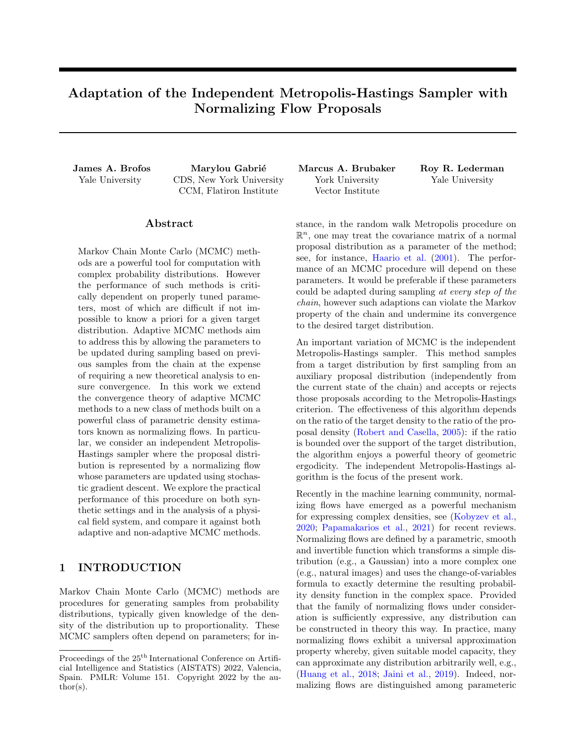Proof of Theorem [C.1.](#page-15-2)

$$
kG^{n}(x_{0},) \quad \Pi(\ )k_{\mathsf{TV}} = k \underset{(-0, \ldots, -n-1)}{\mathbb{E}} K^{n}_{(-0, \ldots, -n-1)}(x_{0},) \quad \Pi(\ )k_{\mathsf{TV}}
$$
(49)

$$
=2\sup_{A\supseteq B(X)}\left|\mathbb{E}\left[\mathbb{E}_{0,\dots,-n-1}\right]K_{(-0,\dots,-n-1)}^n(x_0,A)-\Pi(A)\right|\tag{50}
$$

$$
\mathbb{E}\!\!\sum_{(0,\dots,(n-1))}\!\!\!\sum_{A\geq B(X)}\left|K_{(0,\dots,(n-1))}^n(x_0,A)-\Pi(A)\right|\tag{51}
$$

$$
= \mathop{\mathbb{E}}_{(\,0,\dots,\,n-1)} k K_{(\,0,\dots,\,n-1)}^n(x_0,\,)\quad \Pi(\,)\mathcal{K}_{\mathsf{TV}}\tag{52}
$$

$$
2\underset{(-0,\dots,-n-1)}{\mathbb{E}}\left[\prod_{i=0}^{n-1}(1-L_i)\right],\tag{53}
$$

where the first inequality can be deduced as follows: By Jensen's inequality,

$$
\left| \mathbb{E}_{(\mathbf{0},...,\mathbf{n}-1)} K_{(\mathbf{0},...,\mathbf{n}-1)}^{n}(x_{0},A) - \Pi(A) \right| \quad \mathbb{E}_{(\mathbf{0},...,\mathbf{n}-1)} \left| K_{(\mathbf{0},...,\mathbf{n}-1)}^{n}(x_{0},A) - \Pi(A) \right|.
$$
 (54)

Moreover,

$$
\left| K_{(\text{0},\dots,\text{n-1})}^{n}(x_{0},A) \quad \Pi(A) \right| \quad \sup_{A\supseteq B(X)} \left| K_{(\text{0},\dots,\text{n-1})}^{n}(x_{0},A) \quad \Pi(A) \right| \tag{55}
$$

$$
=)\sum_{(0,\ldots,n-1)}\left|K^{n}_{(0,\ldots,n-1)}(x_{0},A)-\Pi(A)\right| \qquad \underset{(0,\ldots,n-1)}{\mathbb{E}}\sup_{A\supseteq B(X)}\left|K^{n}_{(0,\ldots,n-1)}(x_{0},A)-\Pi(A)\right| \tag{56}
$$

$$
=)\sup_{A\geq B(X)}\mathbb{E}\left[\mathbb{E}\left[\left|K_{(0,\dots,-n-1)}^n\right|X_{(0,\dots,-n-1)}^n(x_0,A)-\Pi(A)\right|\right]\mathbb{E}\left[\sup_{(0,\dots,-n-1)}\left|K_{(0,\dots,-n-1)}^n(x_0,A)-\Pi(A)\right|\right]^{(57)}
$$

The second inequality follows from corollary [B.6](#page-13-2) as follows:

$$
kK_{(\text{0},\dots,\text{0})}^n(x_0,\text{)}\quad \Pi(\text{0},\text{0})\quad 2\prod_{i=0}^{n-1}(1\quad L_i)\tag{58}
$$

$$
=)\quad \underset{(-0,\ldots,-n-1)}{\mathbb{E}} \mathcal{K}^{n}_{(-0,\ldots,-n-1)}(x_0,\,)-\Pi(\,)\mathcal{K}_{\mathsf{TV}}\quad 2\underset{(-0,\ldots,-n-1)}{\mathbb{E}}\left[\prod_{i=0}^{n-1}(1-L_i)\right].\tag{59}
$$

 $\Box$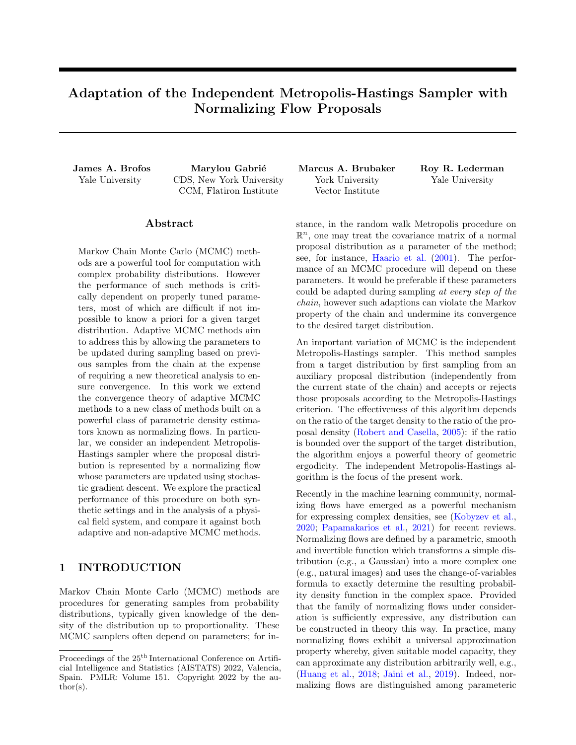# <span id="page-17-0"></span>D Proofs Concerning Continuity of Independent Metropolis-Hastings Transition Kernels

<span id="page-17-1"></span>**Theorem D.1.** Let f be a continuous function from the metric space  $(X, d_X)$  to the metric space  $(Y, d_Y)$ . If  $(X_0, X_1, \ldots)$  is a sequence of X-valued random variables converging in probability to the random variable X then  $(f(X_0), f(X_1), ...)$  is a sequence of Y-valued converging in probability to  $f(X)$ .

Proof of Lemma [4.2.](#page-5-1) Given that  $\theta \neq K_{\theta}$  is continuous, if  $(\Theta_0, \Theta_1, \ldots)$  converges in probability to  $\Theta$ , we have immediately from theorem [D.1](#page-17-1) that  $(K_0, K_1, \ldots)$  converges in probability to K. This means that for all  $\epsilon > 0$  and  $\delta > 0$ , there exists  $N(\epsilon, \delta) \supseteq \mathbb{N}$  such that  $\Pr[d(K_{n}, K_{n}) < \epsilon]$  and  $\delta$  for every  $n \in N$ . For fixed  $\epsilon > 0$ and  $\delta > 0$ , set  $n \in N(\epsilon/2, \delta)$  so that  $\Pr[d(K_{n}, K)] < \epsilon/2] - 1 - \delta$ . Thus,

$$
\Pr\left[d(K_{n}, K_{n+1}) < \epsilon\right] \quad \Pr\left[d(K_{n}, K_{n+1}, K_{n}) < \epsilon\right] \tag{60}
$$

$$
\Pr\left[d(K_{n}, K_{-}) < \epsilon/2 \text{ and } d(K_{n+1}, K_{-}) < \epsilon/2\right] \tag{61}
$$

$$
\Pr\left[d(K_{n}, K_{-}) < \epsilon/2\right] + \Pr\left[d(K_{n+1}, K_{-}) < \epsilon/2\right] - 1\tag{62}
$$

$$
1 \quad \delta + 1 \quad \delta \quad 1 \tag{63}
$$

$$
=1 \quad 2\delta. \tag{64}
$$

This establishes diminishing adaptation in the sense of definition [2.9.](#page-3-2)

Proof of Proposition [2.4.](#page-1-1) To prove symmetry we write,

$$
d(K, K^{\theta}) = \sup_{x \ge X} kK(x, ) \quad K^{\theta}(x, )k_{\text{TV}}
$$
\n(65)

$$
=\sup_{x\geq X}kK^0(x,\ )\quad K(x,\ )k_{\mathsf{TV}}\tag{66}
$$

$$
=d(K^0,K). \tag{67}
$$

Identifiability follows from the definition of equality of Markov chain kernels given in definition [2.3.](#page-1-2) The triangle inequality is then proven as follows. Let  $K^{\emptyset}$  be another transition kernel on  $X - B(X)$ .

$$
d(K, K^{\theta}) = \sup_{x \ge X} kK(x, ) \quad K^{\theta}(x, )k_{\text{TV}}
$$
\n(68)

$$
\sup_{x \ge X} (kK(x, \cdot) - K^{\mathcal{W}}(x, \cdot)k_{\mathsf{TV}} + kK^{\mathcal{W}}(x, \cdot) - K^{\mathcal{Y}}(x, \cdot)k_{\mathsf{TV}}) \tag{69}
$$

$$
\sup_{x \ge X} kK(x, \cdot) \quad K^{\mathcal{W}}(x, \cdot) \mathcal{K}_{\mathsf{TV}} + \sup_{x \ge X} kK^{\mathcal{W}}(x, \cdot) \quad K^{\mathcal{V}}(x, \cdot) \mathcal{K}_{\mathsf{TV}} \tag{70}
$$

$$
=d(K, K^{\emptyset\emptyset})+d(K^{\emptyset\emptyset}, K^{\emptyset}).
$$
\n
$$
(71)
$$

 $\Box$ 

 $\Box$ 

In the sequel, we will limit our discussion to the transition kernel of the independent Metropolis-Hastings sampler. Recall that this transition kernel has the following form,

$$
K_{\theta}(x, A) = \int_{A} \alpha_{\theta}(x, y)\tilde{\pi}_{\theta}(y) \ \mu(\mathrm{d}y) + \left(1 \int_{X} \alpha_{\theta}(x, w)\tilde{\pi}_{\theta}(w) \ \mu(\mathrm{d}w)\right) \mathbf{1} \ \text{fx } 2 \ Ag, \tag{72}
$$

where

$$
\alpha_{\theta}(x, y) = \min\left\{1, \frac{\pi(y)\tilde{\pi}_{\theta}(x)}{\pi(x)\tilde{\pi}_{\theta}(y)}\right\}.
$$
\n(73)

<span id="page-17-2"></span>**Lemma D.2.** Let  $(\theta_1, \theta_2, \ldots)$  be a Y-valued sequence converging to  $\theta$ . If for all  $x \ge X$  and  $A \ge B(X)$  we have

$$
\lim_{n \to \infty} \int_A \alpha_{\theta_n}(x, y) \tilde{\pi}_{\theta_n}(y) \ \mu(\mathrm{d}y) = \int_A \lim_{n \to \infty} \left[ \alpha_{\theta_n}(x, y) \tilde{\pi}_{\theta_n}(y) \right] \ \mu(\mathrm{d}y) \tag{74}
$$

$$
= \int_{A} \alpha_{\theta}(x, y)\tilde{\pi}_{\theta}(y) \mu(\mathrm{d}y). \tag{75}
$$

then  $\lim_{n \to \infty} K_{\theta_n} = K_{\theta}$ .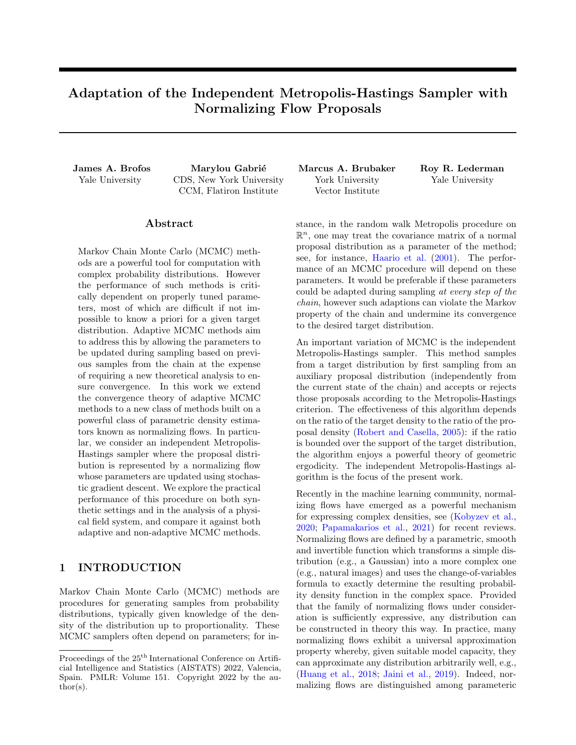Proof. By continuity of the distance function,

$$
\lim_{n \to \infty} d(K_{\theta_n}, K_{\theta}) = d(\lim_{n \to \infty} K_{\theta_n}, K_{\theta})
$$
\n(76)

$$
= \sup_{x \ge X} \sup_{A \ge \mathbf{B}(X)} \left| \lim_{n \to \infty} K_{\theta_n}(x, A) - K_{\theta}(x, A) \right|.
$$
 (77)

Therefore,

$$
\lim_{n \to \infty} K_{\theta_n}(x, A) = \lim_{n \to \infty} \left( \int_A \alpha_{\theta_n}(x, y) \tilde{\pi}_{\theta_n}(y) \ \mu(\mathrm{d}y) + \left( 1 \int_X \alpha_{\theta_n}(x, w) \tilde{\pi}_{\theta_n}(w) \ \mu(\mathrm{d}w) \right) \mathbf{1} \, \text{fx } 2 \, A \, g \right) \tag{78}
$$

$$
= \lim_{n \to \infty} \int_A \alpha_{\theta_n}(x, y) \tilde{\pi}_{\theta_n}(y) \mu(\mathrm{d}y) + \lim_{n \to \infty} \left( 1 - \int_X \alpha_{\theta_n}(x, w) \tilde{\pi}_{\theta_n}(w) \mu(\mathrm{d}w) \right) \mathbf{1} \, \mathrm{d}x \, 2 \, Ag \tag{79}
$$

$$
= \int_{A} \lim_{n \to -\infty} \left[ \alpha_{\theta_n}(x, y) \tilde{\pi}_{\theta_n}(y) \right] \mu(\mathrm{d}y) + \left( 1 - \int_{X} \lim_{n \to -\infty} \left[ \alpha_{\theta_n}(x, w) \tilde{\pi}_{\theta_n}(w) \right] \mu(\mathrm{d}w) \right) \mathbf{1} \, \mathrm{d}x \, 2 \, Ag \quad (80)
$$

$$
= \int_{A} \alpha_{\theta}(x, y)\tilde{\pi}_{\theta}(y) \mu(\mathrm{d}y) + \left(1 \int_{X} \alpha_{\theta}(x, w)\tilde{\pi}_{\theta}(w) \mu(\mathrm{d}w)\right) \mathbf{1} \, \mathrm{d}x \, 2 \, Ag \tag{81}
$$

$$
=K_{\theta}(x,A). \tag{82}
$$

Finally,

$$
\lim_{n \to \infty} d(K_{\theta_n}, K_{\theta}) = \sup_{x \to X} \sup_{A \to B(X)} \left| \lim_{n \to \infty} K_{\theta_n}(x, A) - K_{\theta}(x, A) \right| \tag{83}
$$

$$
= \sup_{x \ge X} \sup_{A \ge B(x)} jK_{\theta}(x, A) \quad K_{\theta}(x, A)j \tag{84}
$$

$$
=0.\t(85)
$$

$$
\qquad \qquad \Box
$$

The following result is called Scheffé's lemma; see [Lebanon](#page-9-21) [\(2017\)](#page-9-21); [Pollard](#page-9-20) [\(2001\)](#page-9-20).

<span id="page-18-2"></span>**Lemma D.3.** Let  $\pi_n$  be a sequence of probability densities that converge pointwise to another density  $\pi$ . Then, Let  $\Pi(A) = \int_A \pi(x) \mu(dx)$  and  $\Pi_n(A) = \int_A \pi_n(x) \mu(dx)$  be the measures whose densities are  $\pi$  and  $\pi_n$  with respect to dominating measure  $\mu$ , respectively. Then  $\lim_{n \to \infty} 1$  kΠ( )  $\Pi_n()$  k<sub>TV</sub> = 0.

We will also require the following theorem from [Royden](#page-10-4) [\(1968,](#page-10-4) Page 270).

<span id="page-18-0"></span>**Theorem D.4.** Let  $(X, B(X))$  be a measurable space and let  $(\Pi_n)_{n\geq N}$  be a sequence of probability measures converging to the probability measure  $\Pi$ . Let  $\alpha_n : X \perp \mathbb{R}$  and  $\beta_n : X \perp \mathbb{R}$  be two sequences of functions converging pointwise to the functions  $\alpha$  and  $\beta$ , respectively. Suppose further that  $\alpha_n(x)$   $\beta_n(x)$  for every  $x \nightharpoonup X$  and that,

$$
\lim_{n \to \infty} \int_X \beta_n(x) \, \Pi_n(\mathrm{d}x) = \int_X \beta(x) \, \Pi(\mathrm{d}x) < 1 \,. \tag{86}
$$

Then,

$$
\lim_{n \to \infty} \int_{A} \alpha_n(x) \Pi_n(\mathrm{d}x) = \int_{A} \alpha(x) \Pi(\mathrm{d}x), \tag{87}
$$

for  $A \supseteq B(X)$ .

<span id="page-18-1"></span>**Lemma D.5.** Suppose that for fixed  $x \geq X$  the mapping  $\theta \neq \tilde{\pi}_{\theta}(x)$  is continuous, that  $y \geq X$ , and that Supp $(\tilde{\pi}_{\theta}) = X$  for every  $\theta \geq Y$ . Let  $(\theta_1, \theta_2, ...)$  be a Y-valued sequence converging to  $\theta$ . Then  $\lim_{n \to \infty} \alpha_{\theta_n}(x, y) \tilde{\pi}_{\theta_n}(y) = \alpha_{\theta}(x, y) \tilde{\pi}_{\theta}(y)$  pointwise.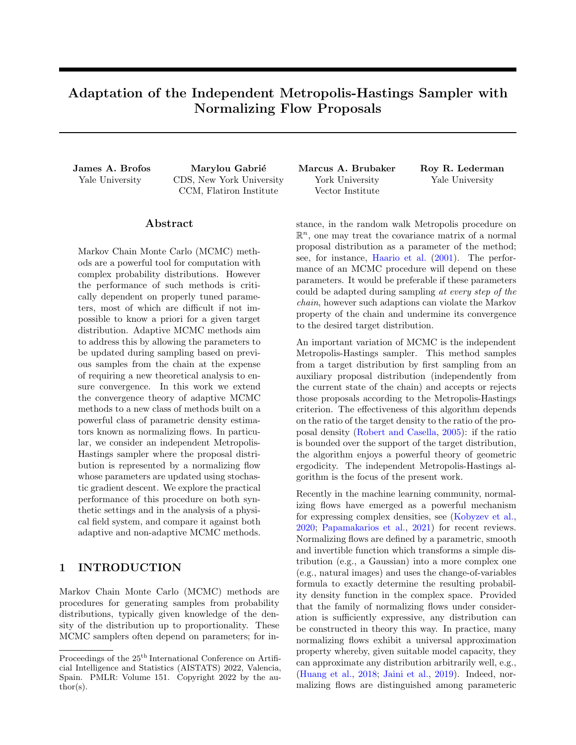Proof.

$$
\lim_{n \to -\infty} \alpha_{\theta_n}(x, y) = \lim_{n \to -\infty} \min \left\{ 1, \frac{\pi(y)\tilde{\pi}_{\theta_n}(x)}{\pi(x)\tilde{\pi}_{\theta_n}(y)} \right\}
$$
(88)

$$
= \left(\min\left\{1, \lim_{n' \to 1} \frac{\pi(y)\tilde{\pi}_{\theta_n}(x)}{\pi(x)\tilde{\pi}_{\theta_n}(y)}\right\}\right) \tag{89}
$$

$$
= \left(\min\left\{1, \frac{\pi(y)}{\pi(x)} \lim_{n \to \infty} \frac{\tilde{\pi}_{\theta_n}(x)}{\tilde{\pi}_{\theta_n}(y)}\right\}\right) \tag{90}
$$

$$
= \left(\min\left\{1, \frac{\pi(y)}{\pi(x)} \left(\lim_{n \to \infty} \tilde{\pi}_{\theta_n}(x)\right) \left(\lim_{n \to \infty} \frac{1}{\tilde{\pi}_{\theta_n}(y)}\right)\right\}\right) \tag{91}
$$

$$
= \left(\min\left\{1, \frac{\pi(y)}{\pi(x)} \left(\tilde{\pi}_{\theta}(x)\right) \left(\frac{1}{\lim_{n \neq 1} \pi \tilde{\pi}_{\theta_n}(y)}\right)\right\}\right) \tag{92}
$$

$$
= \left(\min\left\{1, \frac{\pi(y)}{\pi(x)} \left(\tilde{\pi}_{\theta}(x)\right) \left(\frac{1}{\tilde{\pi}_{\theta}(y)}\right)\right\}\right) \tag{93}
$$

$$
= \alpha_{\theta}(x, y). \tag{94}
$$

<span id="page-19-2"></span><span id="page-19-0"></span> $\Box$ 

The assumption that  $\text{Supp}(\tilde{\pi}_{\theta}) = X$  is used in eq. [\(92\)](#page-19-0).

<span id="page-19-1"></span>Corollary D.6. Let  $(\theta_1, \theta_2, ...)$  be a Y-valued sequence converging to  $\theta$ . Let  $\pi$  be a probability density function on a compact space X and let  $\tilde{\pi}_{\theta}$  be a family of density functions on X indexed by  $\theta$  such that the map  $\theta \nabla \tilde{\pi}_{\theta}$ is continuous (i.e.  $\pi_{\theta_n}$ !  $\pi_{\theta}$ ). Assume further that  $\text{Supp}(\tilde{\pi}_{\theta}) = X$  for every  $\theta \geq Y$ . Let  $x \geq X$  be fixed and let  $y$  2  $X$ . Define

$$
\alpha_{\theta}(x, y) = \min\left\{1, \frac{\pi(y)\tilde{\pi}_{\theta}(x)}{\pi(x)\tilde{\pi}_{\theta}(y)}\right\}.
$$
\n(95)

Then,

$$
\lim_{n \to \infty} \int_{A} \alpha_{\theta_n}(x, y) \tilde{\pi}_{\theta_n}(y) \mu(\mathrm{d}y) = \int_{A} \alpha_{\theta}(x, y) \tilde{\pi}_{\theta}(y) \mu(\mathrm{d}y) \tag{96}
$$

*Proof.* This follows immediate from theorem [D.4](#page-18-0) with  $\beta_n(y)$  1,  $\alpha_n(y) = \alpha_{\theta_n}(x, y)$  (which converges pointwise by lemma [D.5\)](#page-18-1) and the measures  $\Pi_n(A) = \int_A \tilde{\pi}_{\theta_n}(x) \mu(dx)$  and  $\Pi(A) = \int_A \tilde{\pi}_{\theta}(x) \mu(dx)$ , which converge by  $\Box$ lemma [D.3.](#page-18-2)

*Proof of theorem [4.3.](#page-5-2)* Fix  $x \, 2 \, X$  and  $A \, 2 \, B(X)$ . Thus,

$$
\lim_{n \to \infty} K_{\theta_n}(x, A) = \lim_{n \to \infty} \left( \int_A \alpha_{\theta_n}(x, y) \tilde{\pi}_{\theta_n}(y) \ \mu(\mathrm{d}y) + \left( 1 \int_X \alpha_{\theta_n}(x, w) \tilde{\pi}_{\theta_n}(w) \ \mu(\mathrm{d}w) \right) \mathbf{1} \, \text{fx } 2 \, \text{Ag} \right) \tag{97}
$$

$$
= \lim_{n \to \infty} \int_A \alpha_{\theta_n}(x, y) \tilde{\pi}_{\theta_n}(y) \mu(\mathrm{d}y) + \lim_{n \to \infty} \left(1 \int_X \alpha_{\theta_n}(x, w) \tilde{\pi}_{\theta_n}(w) \mu(\mathrm{d}w)\right) \mathbf{1} \, \mathrm{f}x \, 2 \, Ag \qquad (98)
$$

$$
= \int_{A} \alpha_{\theta}(x, y)\tilde{\pi}_{\theta}(y) \mu(\mathrm{d}y) + \left(1 \int_{X} \alpha_{\theta}(x, w)\tilde{\pi}_{\theta}(w) \mu(\mathrm{d}w)\right)1 \, \mathrm{f}x \, 2 \, Ag \tag{99}
$$

$$
=K_{\theta}(x,A). \tag{100}
$$

where we have used corollary  $D.6$  in eq. [\(99\)](#page-19-2). The conclusion then follows from lemma  $D.2$ .  $\Box$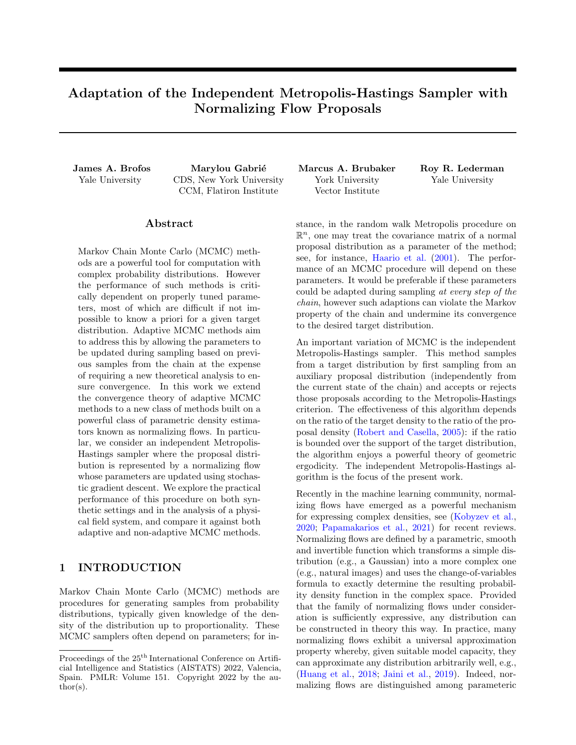# <span id="page-20-0"></span>E Proofs Concerning Simultaneous Uniform Ergodicity on Compact Spaces

*Proof of Corollary [2.7.](#page-2-3)* Because X is compact and  $\pi$  and  $\tilde{\pi}$  are continuous, we know that  $\pi$  and  $\tilde{\pi}$  attain maximum and minimum values on X. Therefore, the ratio  $\pi(x)/\tilde{\pi}(x)$  (i) does not diverge on Supp $(\pi)$  because Supp $(\pi)$  $\text{Supp}(\tilde{\pi})$  and (ii) is bounded by

<span id="page-20-1"></span>
$$
\frac{\max_{x \ge X} \pi(x)}{\min_{x \ge X} \tilde{\pi}(x)},\tag{101}
$$

and M is at most this value, with equality if the maximum of  $\pi$  and the minimum of  $\tilde{\pi}$  occur at the same point in  $X$ .  $\Box$ 

Proof of Proposition [N.2.](#page-35-2) Define

$$
M_{\theta} = \max_{x \ge \text{Supp}(\pi)} \frac{\pi(x)}{\tilde{\pi}_{\theta}(x)}
$$
(102)

and recall from corollary [2.7](#page-2-3) that

$$
kK_{\theta}^{n}(x, \ ) \quad \pi k_{\mathsf{TV}} \quad \left(1 \quad \frac{1}{M_{\theta}}\right)^{n}.\tag{103}
$$

From eq. [\(101\)](#page-20-1) and eq. [\(199\)](#page-35-3),  $M_{\theta}$  is bounded as

$$
M_{\theta} \quad \frac{\max_{x \ge \text{Supp}(\pi)} \pi(x)}{\min_{x \ge \text{Supp}(\pi)} \tilde{\pi}_{\theta}(x)} \quad \frac{\max_{x \ge \text{Supp}(\pi)} \pi(x)}{\delta} = M_{\delta} \tag{104}
$$

The quantity  $M_{\delta}$  does not depend on  $\theta$  2 Y and therefore we have, for all  $\theta$  2 Y,

$$
kK_{\theta}^{n}(x, \, ) \quad \pi k_{\mathsf{TV}} \quad \left(1 \quad \frac{1}{M_{\delta}}\right)^{n}.\tag{105}
$$

Using this worst-case bound, we may find an n satisfying definition [N.1](#page-35-0) for all  $\theta \neq Y$ .  $\Box$ 

*Proof of Lemma [N.3.](#page-35-4)* Fix  $\theta$  2  $\gamma$ . Then

$$
\min_{x \ge \text{Supp}(\pi)} \tilde{\pi}_{\theta}(x) = \min_{x \ge \text{Supp}(\pi)} (\beta \pi - (x) + (1 - \alpha)\tilde{\pi}_{\theta}(x))
$$
\n(106)

$$
\min_{x \ge \text{Supp}(\pi)} \beta \pi \quad (x) \tag{107}
$$

$$
= \delta. \tag{108}
$$

The quantity  $\delta$  is greater than zero since  $\beta > 0$  and Supp( $\pi$ ) Supp( $\pi$ ). Since  $\theta$  was arbitrary, the conclusion follows. $\Box$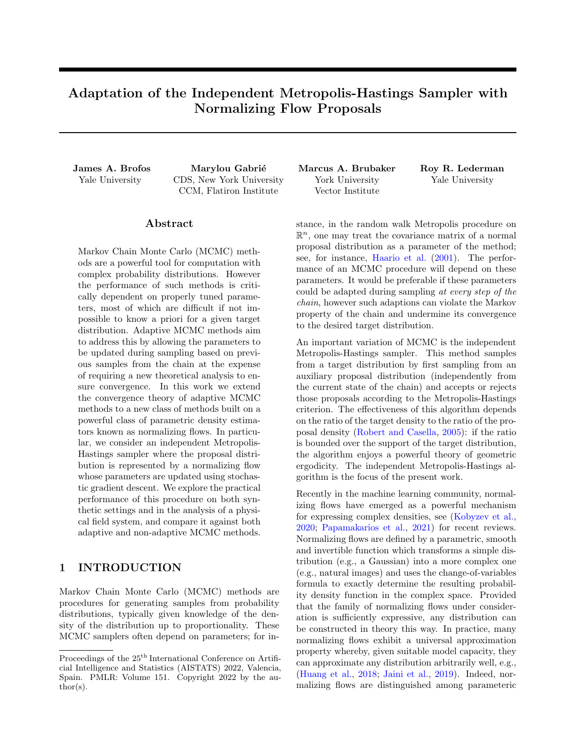# <span id="page-21-0"></span>F Proofs Concerning Containment

Proof of Proposition  $4.4$ .

$$
\Pr\left[\log \pi(x) \quad \log \tilde{\pi}_{n}(x) < \log M \quad \mathcal{S} \quad x \quad \mathcal{Z} \quad \mathcal{X}\right] \quad 1 \quad \delta \quad \mathcal{S} \quad n \quad \mathcal{Z} \quad \mathbb{N} \tag{109}
$$

$$
\Rightarrow \Pr\left[\frac{\pi(x)}{\tilde{\pi}_{n}(x)} < M \quad \mathcal{B} \quad x \quad 2 \times\right] \quad 1 \quad \delta \quad \mathcal{B} \quad n \quad 2 \mathbb{N} \tag{110}
$$

Then for all  $\epsilon > 0$  there exists  $N - N(\epsilon, \delta) \supseteq \mathbb{N}$  such that for all  $x \supseteq X$ ,

$$
\Pr\left[kK_{n}^{N}(x,\cdot) \quad \Pi(\cdot)k_{\mathsf{TV}} < \epsilon\right] \quad 1 \quad \delta \quad \mathcal{B} \quad n \quad 2\mathbb{N} \tag{111}
$$

$$
=)\ \Pr\left[W_{\epsilon}(x,K_{n})\quad N\right]\quad 1\quad \delta\ \mathcal{B}\ \ n\ \mathcal{2}\ \mathbb{N}.\tag{112}
$$

 $\Box$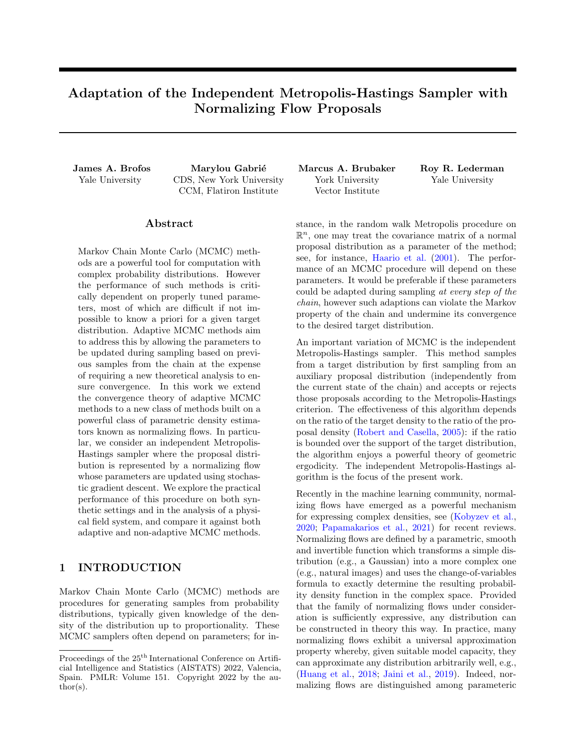# G Adaptation via the Flow of the KL Divergence

Consider an adaptive sequence of parameters  $(\theta_0, \theta_1, \ldots)$  which parameterize proposal densities  $(\tilde{\pi}_{\theta_0}, \tilde{\pi}_{\theta_1}, \ldots)$ . Given a target distribution  $\Pi$  with density  $\pi$ , the efficacy of the adaptive independent Metropolis-Hastings sampler is dictated by the ratio of the target density to the proposal density,

<span id="page-22-0"></span>
$$
U(\theta) \stackrel{\text{def.}}{=} \sup_{x \ge \text{Supp}(\pi)} \frac{\pi(x)}{\tilde{\pi}_{\theta}(x)}.
$$
 (113)

The smaller this upper bound, the better the mixing properties of the independent Metropolis-Hastings algorithm with proposal distribution  $\tilde{\Pi}_{\theta_n}$ . A central question is whether or not the sequence  $(\theta_0, \theta_1, \ldots)$  actually produces improvements in these upper bounds; i.e. is  $U(\theta_{n+1})$   $U(\theta_n)$ ?

It is important that the bound in eq. [\(113\)](#page-22-0) is actually the *least* upper bound. This is because an arbitrary upper bound may decrease while the least upper bound decreases.

In estimating the parameters of normalizing flows, it is typical that parameters follow, at least approximately, the gradient flow of a prescribed loss function, such as a KL divergence. Since gradient flows are initial value problems with deterministic solutions, by examining the case wherein adaptations are obtained exactly by gradient flow allows us to bypass the added difficulty of contending with stochastic adaptations.

<span id="page-22-1"></span>**Proposition G.1.** Let X be a state space and let  $\theta \supseteq \mathbb{R}^m$  parameterize a probability measure  $\tilde{\Pi}_{\theta}$  on  $B(X)$  with density  $\tilde{\pi}_{\theta}$ . Given a target density  $\pi$ , consider the function  $U : \mathbb{R}^m$  !  $\mathbb R$  defined by eq. [\(113\)](#page-22-0) and assume further that U is smooth with respect to its argument. Let  $L : \mathbb{R}^m$  !  $\mathbb R$  be a loss function and consider the gradient flow  $\theta_t = r L(\theta_t)$  given an initial condition  $\theta_0$ . A sufficient condition that  $U(\theta_{t+s})$   $U(\theta_t)$  is that

$$
\Gamma \, U(\theta_{t^0}) \quad \Gamma \, L(\theta_{t^0}) \quad 0, \tag{114}
$$

where  $t^{\theta} \, 2 \, (t, t + s)$ ; i.e.  $\Gamma \, L(\theta_{t^{\theta}})$  is an ascent direction of U at  $\theta_{t^{\theta}}$ .

Proof. By applying the chain rule,

$$
\frac{\mathrm{d}}{\mathrm{d}t}U(\theta_t) = r U(\theta_t) \dot{\theta}_t \tag{115}
$$

$$
= r U(\theta_t) \qquad r L(\theta_t). \tag{116}
$$

By the fundamental theorem of calculus,

$$
U(\theta_{t+s}) \quad U(\theta_t) = \int_t^{t+s} \left( \frac{\mathrm{d}}{\mathrm{d}t^{\theta}} U(\theta_{t^{\theta}}) \right) \bigg|_{t^{\theta}=t^{\omega}} \mathrm{d}t^{\theta} \tag{117}
$$

$$
= \int_{t}^{t+s} \mathcal{L} U(\theta_{t^{(0)}}) \mathcal{L} L(\theta_{t^{(0)}}) dt^{(0)} \tag{118}
$$

$$
0\tag{119}
$$

Therefore,  $U(\theta_{t+s})$   $U(\theta_t)$ .

While verifying the conditions of proposition  $G.1$  in general appears a daunting task, we can do some analysis in simple cases.

Example 5. Consider the problem of sampling Normal $(0,1)$  by adapting a proposal of the form Normal $(\mu, \sigma^2)$ . Assume further that  $\sigma^2 > 1$ . We can deduce an upper bound on the ratio of the target density to the proposal density as follows:

$$
\max_{x \ge R} \frac{\exp(-x^2/2)/\sqrt{2\pi}}{\exp(-(x-\mu)^2/2\sigma^2)/\sqrt{2\pi\sigma^2}} = \sigma \max_{x \ge R} \exp\left(-\frac{x^2}{2} + \frac{(x-\mu)^2}{2\sigma^2}\right)
$$
(120)

$$
\sigma \exp\left(\frac{\mu^2}{2(\sigma^2 - 1)}\right),\tag{121}
$$

<span id="page-22-2"></span> $\Box$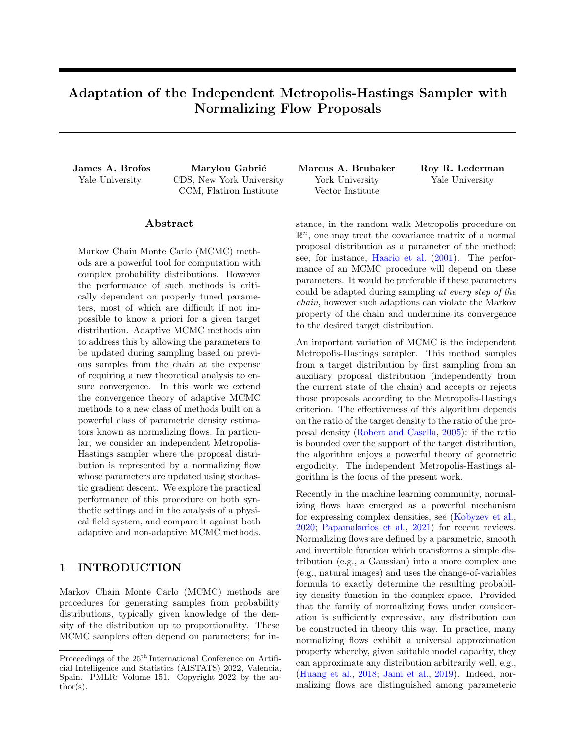which can be deduced by maximizing  $\frac{x^2}{2} + \frac{(x-\mu)^2}{2\sigma^2}$  using calculus. The reverse KL divergence between the proposal distribution and the target distribution is seen to be,

$$
\mathbb{KL}(\text{Normal}(\mu, \sigma^2) \land \text{Normal}(0, 1)) = \log \sigma + \frac{\sigma^2 + \mu^2}{2} \frac{1}{2}.
$$
 (122)

Consider the gradient flow of the reverse KL divergence:

$$
\dot{\mu}_t = \frac{\partial}{\partial \mu} \mathbb{KL}(\text{Normal}(\mu, \sigma^2) \land \text{Normal}(0, 1)) \tag{123}
$$

$$
= \mu \tag{124}
$$

$$
\dot{\sigma}_t = \frac{\partial}{\partial \sigma} \mathbb{KL}(\text{Normal}(\mu, \sigma^2) \land \text{Normal}(0, 1)) \tag{125}
$$

$$
=\frac{1}{\sigma_t} \quad \sigma_t. \tag{126}
$$

When we specify initial conditions  $\mu_0 \supseteq \mathbb{R}$  and  $\sigma_0 > 1$ , this produces an initial value problem. To verify that adapting by following the gradient flow of KL divergence produces a provable improvement to the upper bound deduced in eq. [\(121\)](#page-22-2), it suffices to check that the time derivative of the upper bound in decreasing under the postulated gradient flow dynamics. That is,

$$
\frac{\mathrm{d}}{\mathrm{d}t} \sigma_t \exp\left(\frac{\mu_t^2}{2(\sigma_t^2 - 1)}\right) = \frac{\mu_t \sigma_t \exp(\mu_t^2 / (2(\sigma_t^2 - 1)))}{\sigma_t^2 - 1} \mu_t + \frac{\exp(\mu_t^2 / (2(\sigma_t^2 - 1))) (\mu_t^2 + 2)\sigma_t^2 + \sigma_t^4 + 1)}{(\sigma_t^2 - 1)^2} \left(\frac{1}{\sigma_t} - \sigma_t\right)
$$
\n
$$
= \frac{(\sigma_t - 1)(\sigma_t + 1) \exp(\mu_t^2 / (2(\sigma_t^2 - 1)))}{\sigma_t}.
$$
\n(128)

It follows that this is a negative quantity if we can establish that  $\sigma_t > 1$ . From the initial condition  $\sigma_0 > 1$ , it follows that the positive solution of the differential equation  $\dot{\sigma}_t = \frac{1}{\sigma_t}$   $\sigma_t$  is  $\sigma_t = \sqrt{e^{-2t}(\sigma_0^2 - 1) + 1}$ , so we see, indeed, that  $\sigma_t > 1$ . Therefore, the upper bound is a decreasing function of t given the prescribed gradient flow dynamics. The differential equation  $\mu_t = \mu_t$  also has an explicit solution given the initial condition  $\mu_0$ , which is  $\mu_t = \mu_0 e^{-t}$ . These explicit solutions to the gradient flow of the KL divergence allow us to express the evolution of the upper bound concretely as,

$$
\sqrt{e^{-2t}(\sigma_0^2 - 1) + 1} \exp\left(\frac{\mu_0^2 e^{-2t}}{2e^{-2t}(\sigma_0^2 - 1)}\right) = \sqrt{e^{-2t}(\sigma_0^2 - 1) + 1} \exp\left(\frac{\mu_0^2}{2(\sigma_0^2 - 1)}\right)
$$
(129)

This is an intriguing formula since it suggests that although the sequence  $M_t$  is decreasing, it decreases only to a non-unit limit  $\exp(\mu_0^2/(2(\sigma_0^2-1)))$ ; indeed, unless  $\mu_0=0$ , the limit of this upper bound does not approach one. For the purposes of MCMC, this may be acceptable, since uniform ergodicity can be obtained so long as the bound is finite; however, were the upper bound to equal one, this would be optimal. Connecting this back to the question of adaptation, choosing an increasing sequence of times  $t_0 < t_1 < t_2 < \ldots$  and consider using Normal $(\mu_{t_n}, \sigma_{t_n}^2)$  as the proposal distribution at step n. The Doeblin coefficient at step n is therefore,

$$
L_n = \frac{1}{\sqrt{e^{-2t}(\sigma_0^2 - 1) + 1} \exp\left(\frac{\mu_0^2}{2(\sigma_0^2 - 1)}\right)}.
$$
\n(130)

Finally, let us remark that the undesirable property that the upper bounds do not converge to unity can be easily corrected. The principle issue is that the factors of  $e^{-2t}$  cancel in the exponent. However, consider that instead of using  $(\mu_t, \sigma_t)$  to inform adaptations one instead uses  $(\mu_{2t}, \sigma_t)$  so that the mean value is further along in the solution to its initial value problem than the scale. Plugging this into the formula for the upper bound yields,

$$
\sqrt{e^{-2t}(\sigma_0^2 - 1) + 1} \exp\left(\frac{\mu_0^2 e^{-4t}}{2e^{-2t}(\sigma_0^2 - 1)}\right) = \sqrt{e^{-2t}(\sigma_0^2 - 1) + 1} \exp\left(\frac{\mu_0^2 e^{-2t}}{2(\sigma_0^2 - 1)}\right),\tag{131}
$$

which converges to unity as  $t \neq 1$  as desired.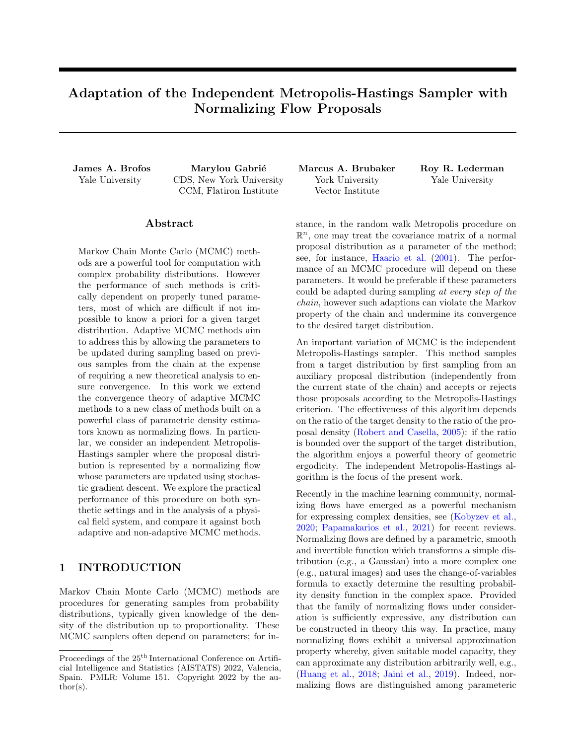Instead of the reverse KL divergence we may consider the forward KL divergence between the target distribution and the proposal.

$$
\mathbb{KL}(\text{Normal}(0, 1) \land \text{Normal}(\mu, \sigma^2)) = \log \sigma + \frac{1 + \mu^2}{2\sigma^2} \quad \frac{1}{2}.
$$
\n(132)

The forward KL divergence produces the following equations of motion.

$$
\dot{\mu}_t = \frac{\mu_t}{\sigma_t^2} \tag{133}
$$

$$
\dot{\sigma}_t = \frac{\mu_t^2 + 1}{\sigma_t^3} \quad \frac{1}{\sigma_t} \tag{134}
$$

Applying the chain rule to eq. [\(121\)](#page-22-2) with these equations of motion yields the following time derivative of the upper bound,

$$
\frac{\mathrm{d}}{\mathrm{d}t}\sigma_t \exp\left(\frac{\mu_t^2}{2(\sigma_t^2 - 1)}\right) = \exp\left(\frac{\mu_t^2}{2(\sigma_t^2 - 1)}\right) - \frac{\mu_t^4 \sigma^2 + \mu_t^2 \sigma_t^4 - 2\mu_t^2 \sigma_t^2 + \mu_t^2 - \sigma_t^6 + 3\sigma_t^4 - 3\sigma_t^2 + 1}{\sigma_t^3 (\sigma_t^2 - 1)^2}.
$$
(135)

This derivative is less than or equal to zero iff

$$
\mu_t^4 \sigma^2 + \mu_t^2 \sigma_t^4 \quad 2\mu_t^2 \sigma_t^2 + \mu_t^2 \quad \sigma_t^6 + 3\sigma_t^4 \quad 3\sigma_t^2 + 1 \quad 0 \tag{136}
$$

$$
( ) \ \mu_t^2 (\sigma_t^2 - 1)^2 \ \mu_t^4 \sigma_t^2 + (\sigma_t^2 - 1)^3, \tag{137}
$$

which is true for  $\sigma_t^2 > 1$ .

k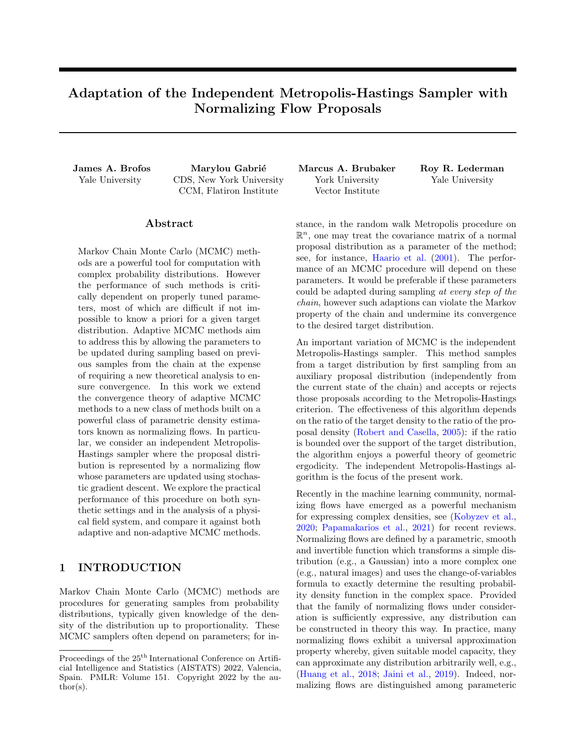### H Adaptation of a Kernel Density Proposal Distribution

A principle difficulty in using normalizing flows as proposal distributions is that it is unclear whether or not a given adaptation of the neural network parameters will provably decrease the upper bound on the ratio of the target density and the normalizing flow density. Analyzing this property theoretically in the case of normalizing flows does not appear to be forthcoming. Nevertheless, we have been able to analyze certain behaviors of proposals based on kernel density estimators. A version of this procedure (to use kernel density estimators as a proposal in independent Metropolis-Hastings) was previously pursued in [Maire et al.](#page-9-22) [\(2019\)](#page-9-22); however, they do not appear to have looked at the question of when the addition of a new component into the mixture is beneficial, which is the topic under consideration in the sequel.

Let  $x_1, \ldots, x_n \n\supset \mathbb{R}^m$ . We consider the kernel density estimator computed by,

$$
\tilde{K}_n(x) = \frac{1}{n} \sum_{i=1}^n \frac{1}{\text{Vol}(\bar{B}_{\epsilon}(x_i))} \mathbf{1} \left\{ x \ 2 \ \bar{B}_{\epsilon}(x_i) \right\}.
$$
\n(138)

where  $\bar{B}_{\epsilon}(x)$  is the closed ball of radius  $\epsilon$  centered at x. For notational convenience, we observe that  $V =$  $\text{Vol}(\bar{B}_{\epsilon}(x)) = \text{Vol}(\bar{B}_{\epsilon}(x^{\theta}))$  for any  $x, x^{\theta} \geq \mathbb{R}^{m}$  and we write  $m_{n}(x) = \# \{i \geq 1, \ldots, n : x \geq \bar{B}_{\epsilon}(x_{i})\}.$  Therefore, we have the simple expression for the kernel density estimator as  $\tilde{K}_n(x) = m_n(x)/nV$ .

Suppose that  $\Pi$  is a probability measure on  $\mathbb{R}^m$  with compactly supported density  $\pi : \mathbb{R}^m$  !  $\mathbb{R}_+$ . Define,

$$
M_n = nV \sup_{x \ge \text{Supp}(\pi)} \frac{\pi(x)}{m_n(x)}\tag{139}
$$

Hence  $\pi(x)/\tilde{K}_n(x)$   $M_n$ . Given a new observation  $x_{n+1} \, 2 \, \mathbb{R}^m$ , we would like to understand conditions under which one can show  $M_{n+1}$   $M_n$ . This means that the inclusion of a new observation in the kernel density estimate reduces the upper bound on the ratio of the target density and the proposal density. To discuss this, we begin with two definitions.

Definition H.1. The inner bound is defined by,

$$
M_n^{\theta} = \sup_{x \ge B \ (x_{n+1}) \setminus \text{Supp}(\pi)} \frac{\pi(x)}{m_n(x)}.
$$
 (140)

Definition H.2. The outer bound is defined by,

$$
M_n^{\emptyset} = \sup_{x \ge \text{Supp}(\pi) \cap B} \frac{\pi(x)}{m_n(x)}.
$$
\n(141)

<span id="page-25-0"></span>**Lemma H.3.** Let A and B be sets. Then max fsup  $A$ , sup  $Bg = \sup A \mid B$ .

*Proof.* Since  $A \cap A/B$ , it is immediate that sup  $A \cap B$ . Identical reasoning shows that sup  $B \cap \text{sup } A/B$ . Therefore, max fsup A, sup  $Bq \text{ sup } A/B$ . Now suppose without loss of generality that sup B sup A. Then for all  $a \nightharpoonup A$  we have  $a$  sup  $B$ ; moreover, for all  $b \nightharpoonup B$ ,  $b$  sup  $B$ . Therefore, for all  $x \nightharpoonup A$   $B$ ,  $x$  sup  $B$ . Thus, sup  $A/B$  sup  $B$ , since sup  $A/B$  is by definition the least upper bound. Applying identi sup B, since sup  $A/B$  is by definition the least upper bound. Applying identical reasoning to the case  $\sup A$  sup B reveals  $\sup A[B]$  max  $f\sup A$ ,  $\sup Bg$ . Thus, we must have  $\sup A[B] = \max f \sup A$ ,  $\sup Bg$ .  $\square$ 

**Corollary H.4.** Since  $\text{Supp}(\pi) \cap \overline{B}_{\epsilon}(x_{n+1}) = \text{Supp}(\pi) \setminus \overline{B}_{\epsilon}(x_{n+1})^{\text{c}}$ , it follows from the distributive law of set relationships that,

$$
\left\{ \mathrm{Supp}(\pi) \setminus \bar{B}_{\epsilon}(x_{n+1}) \right\} / \left\{ \mathrm{Supp}(\pi) \cap \bar{B}_{\epsilon}(x_{n+1}) \right\} = \mathrm{Supp}(\pi). \tag{142}
$$

Applying lemma [H.3](#page-25-0) shows that  $nV$  max  $fM_n^{\theta}, M_n^{\theta\theta} = M_n$ .

**Lemma H.5.** The kernel density estimator  $\tilde{K}_{n+1}(x)$  can be written as,

$$
\tilde{K}_{n+1}(x) = \begin{cases}\n\frac{m_n(x)}{(n+1)V} & \text{if } x \triangleleft \bar{B}_{\epsilon}(x_{n+1}) \\
\frac{m_n(x)+1}{(n+1)V} & \text{otherwise.} \n\end{cases}
$$
\n(143)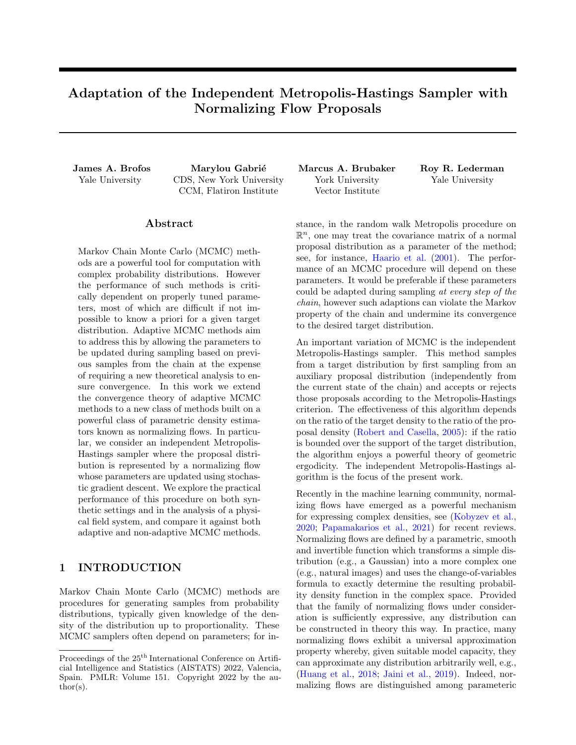Proof. This follows immediately from the equation,

$$
\tilde{K}_{n+1}(x) = \frac{1}{(n+1)V} \sum_{i=1}^{n+1} \mathbf{1} \{ x \ 2 \ \bar{B}_{\epsilon}(x_i) \}
$$
\n(144)

$$
= \frac{1}{(n+1)V} \left( m_n(x) + \mathbf{1} \left\{ x \ 2 \ \bar{B}_{\epsilon}(x_{n+1}) \right\} \right). \tag{145}
$$

 $\Box$ 

<span id="page-26-0"></span>Lemma H.6. We have,

$$
\sup_{x \ge \text{Supp}(\pi) \cap B} \frac{\pi(x)}{\tilde{K}_{n+1}(x)} = (n+1)V M_n^{\emptyset}.
$$
\n(146)

*Proof.* For  $x \, 2 \operatorname{Supp}(\pi) \, n \, \overline{B}_{\epsilon}(x_{n+1}),$ 

$$
\frac{\pi(x)}{\tilde{K}_{n+1}(x)} = (n+1)V \frac{\pi(x)}{m_n(x)}.
$$
\n(147)

Therefore,

$$
\sup_{x \ge \text{Supp}(\pi) \cap B} \frac{\pi(x)}{\tilde{K}_{n+1}(x)} = (n+1)V \sup_{x \ge \text{Supp}(\pi) \cap B} \frac{\pi(x)}{(x_{n+1})} \frac{\pi(x)}{m_n(x)}
$$
(148)

$$
= (n+1)VM_n^{\emptyset}.
$$
\n<sup>(149)</sup>

 $\Box$ 

 $\Box$ 

<span id="page-26-1"></span>Lemma H.7. We have,

$$
\sup_{x \ge \text{Supp}(\pi) \setminus B} \frac{\pi(x)}{\tilde{K}_{n+1}(x)} \quad nVQ_n M_n^{\theta},\tag{150}
$$

where

$$
Q_n = \sup_{x \ge \text{Supp}(\pi) \setminus B} \frac{m_n(x)(n+1)}{(m_n(x)+1)n} \quad 1. \tag{151}
$$

*Proof.* Within  $\text{Supp}(\pi) \setminus \overline{B}_{\epsilon}(x_{n+1})$  we have the bound,

$$
nV\frac{\pi(x)}{m_n(x)} \quad nVM_n^{\theta} \tag{152}
$$

$$
=)\frac{\pi(x)}{m_n(x)/nV}\frac{m_n(x)/n}{(m_n(x)+1)/(n+1)}\frac{m_n(x)/n}{(m_n(x)+1)/(n+1)}nVM_n^0
$$
\n(153)

$$
=)\frac{\pi(x)}{\tilde{K}_{n+1}(x)} \quad nV \frac{m_n(x)/n}{(m_n(x)+1)/(n+1)} M_n^{\theta} \tag{154}
$$

Taking the supremum on both sides yields,

$$
\sup_{x \ge \text{Supp}(\pi) \setminus B} \frac{\pi(x)}{\tilde{K}_{n+1}(x)} \quad nVQ_n M_n^{\theta}.\tag{155}
$$

Since  $m_n(x)$  n, it follows that  $Q_n$  1.

<span id="page-26-2"></span>**Proposition H.8.** If  $M_n^{\emptyset} > M_n^{\emptyset}$ , then  $M_{n+1} > M_n$ . In this case, the inclusion of the new observation degrades the quality of the proposal distribution.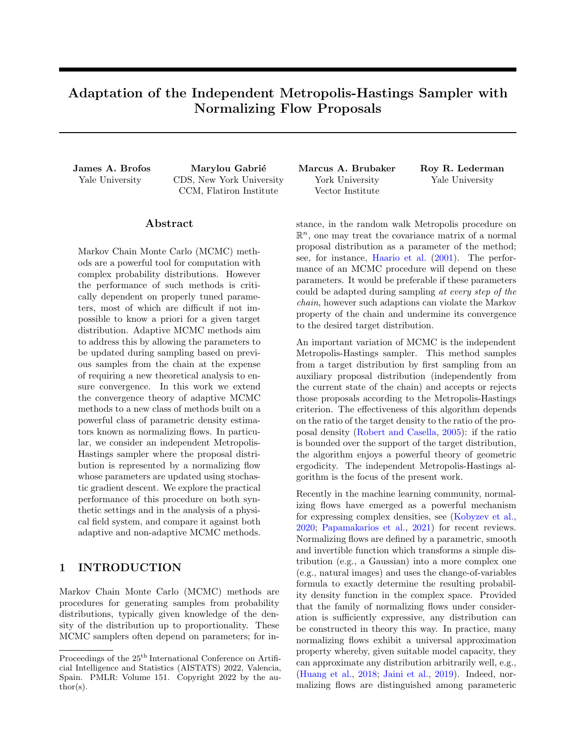*Proof.* Since  $M_n^{\emptyset} > M_n^{\emptyset}$ , it follows that

$$
\sup_{x \ge \text{Supp}(\pi) \setminus B} \frac{\pi(x)}{\tilde{K}_{n+1}(x)} \quad nVQ_n M_n^{\theta} \tag{156}
$$

$$
nVM_n^{\theta} \tag{157}
$$

$$
\langle nVM_n^{\emptyset} \rangle
$$
\n
$$
\langle n+1 \rangle VM_n^{\emptyset} \rangle
$$
\n
$$
(158)
$$
\n
$$
(159)
$$

$$
(n+1)V M_n \tag{139}
$$

$$
= \sup_{x \ge \text{Supp}(\pi) \cap B} \frac{\pi(x)}{\tilde{K}_{n+1}(x)}.
$$
 (160)

Hence  $M_{n+1} = (n+1)V M_n^{\omega} > nVM_n^{\omega} = M_n$ .

<span id="page-27-0"></span>**Proposition H.9.** It is necessary and sufficient that  $(1+1/n)M_n^{\emptyset}$   $M_n^{\emptyset}$  in order for  $M_{n+1}$   $M_n$ .

Proof. To establish sufficiency, we have:

$$
M_{n+1} \quad \max f(n+1)V M_n^{\emptyset}, nV Q_n M_n^{\emptyset} g \tag{161}
$$

$$
\max f n V M_n^{\theta}, n V Q_n M_n^{\theta} g \tag{162}
$$
\n
$$
V M_n^{\theta} \tag{163}
$$

$$
=nVM_n^{\theta} \tag{163}
$$

$$
=M_n \tag{164}
$$

To show that this is actually necessary, consider  $M_n^{\emptyset}$   $M_n^{\emptyset} < (1 + 1/n)M_n^{\emptyset}$ . Then, from lemma [H.6](#page-26-0) we know,

$$
\sup_{x \ge \text{Supp}(\pi) \cap B} \frac{\pi(x)}{\tilde{K}_{n+1}(x)} = (n+1)V M_n^{\text{III}}.
$$
\n(165)

But from lemma [H.7](#page-26-1) we have,

$$
\sup_{x \ge \text{Supp}(\pi) \setminus B} \frac{\pi(x)}{\tilde{K}_{n+1}(x)} \quad nVQ_n M_n^{\theta} \tag{166}
$$

$$
\langle (n+1)VQ_n M_n^{\emptyset} \tag{167}
$$

$$
(n+1)V M_n^{\emptyset} \tag{168}
$$

Now 
$$
M_n = nV M_n^{\theta} < (n+1)V M_n^{\theta} = M_{n+1}
$$
.

Proposition [H.8](#page-26-2) informs us that if the worst case bound is outside of  $\bar{B}_{\epsilon}(x_{n+1})$ , then the adaptation has actually made the bound worse. This is because the density outside of  $\bar{B}_{\epsilon}(x_{n+1})$  behaves in a predictable manner: it is decreased by a factor of  $n/(n+1)$ . Therefore, if the worst case bound on the ratio occurs outside of  $\bar{B}_{\epsilon}(x_{n+1}),$ the ratio can only get worse. At the same time, proposition [H.9](#page-27-0) informs us that the worst-case bound on the ratio inside  $\bar{B}_{\epsilon}(x_{n+1})$  must be greater than the worst-case bound outside of  $\bar{B}_{\epsilon}(x_{n+1})$  by at least a factor of  $(1 + 1/n)$  in order for the inclusion of the additional observation  $x_{n+1}$  to improve the worst-case bound of the ratio of the target density to the kernel density estimator.

 $\Box$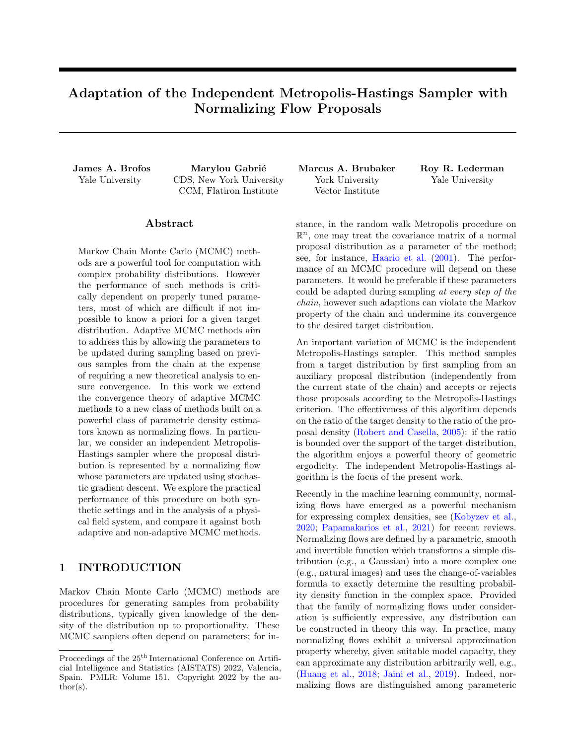#### <span id="page-28-0"></span>I Diminishing Adaptation and Containment for Mixture Kernels

<span id="page-28-1"></span>**Proposition I.1.** Let  $\Pi$  be a probability measure with density  $\pi$  with respect to measure  $\mu$ . Let  $\theta \geq Y$  and suppose that  $\theta$  parameterizes a transition kernel  $K_{\theta}$ . Let  $(\Theta_0, \Theta_1, ...)$  be a sequence of Y-valued random variables. Suppose that with probability 1  $\delta$  there exists M  $M(\delta)$  2 N such that K  $_n(x, dx^{\theta}) = \frac{\pi(x^{\theta})}{M} \mu(dx^{\theta})$  for every  $n = 1, 2, ...$ Then  $(K_{0}, K_{1}, \ldots)$  exhibits containment.

*Proof.* By assumption, with probability 1  $\delta$ , there exists M  $M(\delta) \geq \mathbb{N}$  such that  $K_n(x, dx^{\theta}) = \frac{\pi(x^{\theta})}{M} \mu(dx^{\theta})$ for every  $n = 1, 2, \ldots$  and any  $x \geq X$ . Therefore, with probability 1  $\delta$ , there exists M  $M(\delta) \geq N$  such that,

$$
kK^{m}_{\quad \, \alpha}(x,\,)\quad \Pi(\,)\mathcal{K}_{\mathsf{TV}}\qquad\left(1\quad \frac{1}{M}\right)^{m}\tag{169}
$$

for any  $m \geq N$ , every  $n = 1, 2, \ldots$ , and  $x \geq X$ . Let  $\epsilon > 0$  be arbitrary. Then, with probability  $1 - \delta$ , there exists  $N = N(\epsilon, \delta)$  2 N such that

$$
kK_{n}^{N}(x, \cdot) \quad \Pi(\cdot)k_{\mathsf{TV}} \quad \epsilon. \tag{170}
$$

for every  $n = 1, 2, \ldots$  and any  $x \, 2 \, X$ . Namely, the choice

$$
N(\epsilon, \delta) = \left\lceil \frac{\log \epsilon}{\log \left( 1 - \frac{1}{M(\delta)} \right)} \right\rceil \tag{171}
$$

suffices. Thus as a special case, with probability 1  $\delta$ , there exists  $N = N(\epsilon, \delta) \geq N$  such that

$$
kK_{n}^{N}(X_{n},\ )\quad \Pi(\ )k_{\mathsf{TV}}\quad \epsilon. \tag{172}
$$

for every  $n = 1, 2, \ldots$  Define the function,

$$
W_{\epsilon}(x,\theta) = \inf \mathsf{fn}\, 2\,\mathbb{N} : \mathsf{k}K_{\theta}^{n}(x,\ ) \quad \Pi(\ )\mathsf{k}_{\mathsf{TV}} \quad \epsilon g. \tag{173}
$$

Hence, with probability 1  $\delta$ , there exists  $N = N(\epsilon, \delta) \geq N$  such that

$$
W_{\epsilon}(X_n, \Theta_n) \qquad N \tag{174}
$$

 $\Box$ 

for every  $n = 1, 2, \ldots$  This is the containment condition.

**Proposition I.2.** Let  $\Pi$  be probability measure with density  $\pi$  with respect to measure  $\mu$ . Let  $\theta \geq Y$  and suppose that  $\theta$  parameterizes a probability measure  $\tilde{\Pi}_{\theta}$  with density  $\tilde{\pi}_{\theta}$ . Let  $K_{\theta}$  be the transition kernel of the independent Metropolis-Hastings sampler of  $\Pi$  given  $\tilde{\Pi}_{\theta}$ :

$$
K_{\theta}(x, dx^{\theta}) = \min\left\{1, \frac{\pi(x^{\theta})\tilde{\pi}_{\theta}(x)}{\pi(x)\tilde{\pi}_{\theta}(x^{\theta})}\right\}\tilde{\pi}_{\theta}(x^{\theta}) \mu(dx^{\theta}) + \left(1 - \int_{X} \min\left\{1, \frac{\pi(w)\tilde{\pi}_{\theta}(x)}{\pi(x)\tilde{\pi}_{\theta}(w)}\right\} \tilde{\pi}_{\theta}(w) \mu(dw)\right\}\delta_{x}(dx^{\theta}).
$$
 (175)

Let  $K^{\theta}$  be another transition and consider the transition kernel that is formed by the mixture of  $K_{\theta}$  and  $K^{\theta}$ .  $\hat{K}_{\theta}(x, A) = \alpha K_{\theta}(x, A) + (1 - \alpha) K^{\theta}(x, A)$  for  $x \geq X$  and  $A \geq \mathbf{B}(X)$ . Let  $(\Theta_0, \Theta_1, \ldots)$  be a sequence of Y-valued random variables. If  $(K_0, K_1, \ldots)$  exhibits diminishing adaptation then so does  $(\hat{K}_0, \hat{K}_1, \ldots)$ . Furthermore, suppose that with probability at least 1  $\delta$  there exists M  $M(\delta)$  such that  $K_{n}(x, dx^{\delta}) = \frac{\pi(x^{\delta})}{M} \mu(dx^{\delta})$  for every  $n=1,2,\ldots$  Then  $(\hat{K}_{0},\hat{K}_{1},\ldots)$  exhibits containment.

Proof.

$$
d(\hat{K}_{n}, \hat{K}_{n+1}) = \sup_{x \ge X} k \hat{K}_{n}(x, \mathbf{I}) \quad \hat{K}_{n+1}(x, \mathbf{I}) k_{\text{TV}}
$$
(176)

$$
= \sup_{x \ge X} k\alpha K_{n}(x, t) \alpha K_{n+1}(x, t) \mathcal{K}_{\mathsf{TV}} \tag{177}
$$

$$
= \alpha \sup_{x \ge X} kK_{n}(x, ) \quad K_{n+1}(x, )k_{\mathsf{TV}} \tag{178}
$$

$$
= \alpha d(K_{n}, K_{n+1}). \tag{179}
$$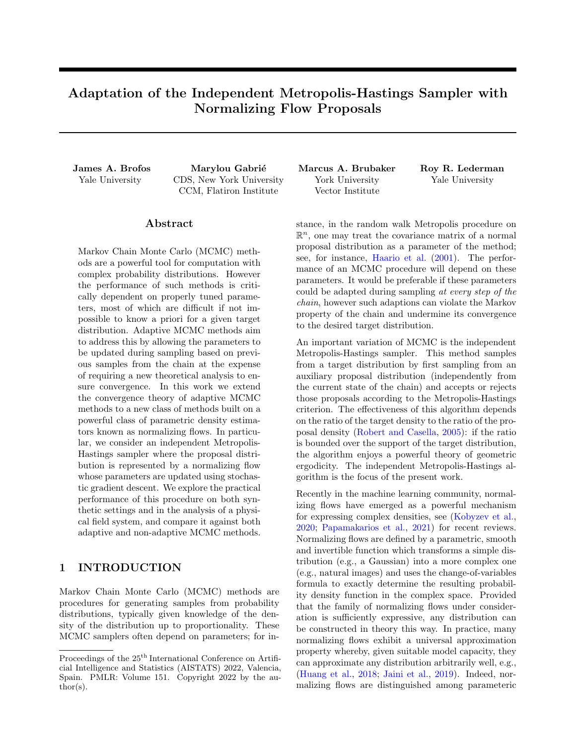Hence, if  $d(K_{n}, K_{n+1})$  converges in probability to zero then so does  $d(\hat{K}_{n}, \hat{K}_{n+1})$ . To show containment, observe that with probability at least  $1 - \delta$  there exists  $M - M(\delta)$  such that,

$$
\hat{K}_{\theta}(x, \mathrm{d}x^{\theta}) \qquad \alpha K_{\theta}(x, \mathrm{d}x^{\theta}) \tag{180}
$$

$$
\alpha \frac{\pi(x^{\theta})}{M} \mu(\mathrm{d}x^{\theta}).\tag{181}
$$

Containment then follows from proposition [I.1.](#page-28-1)

 $\Box$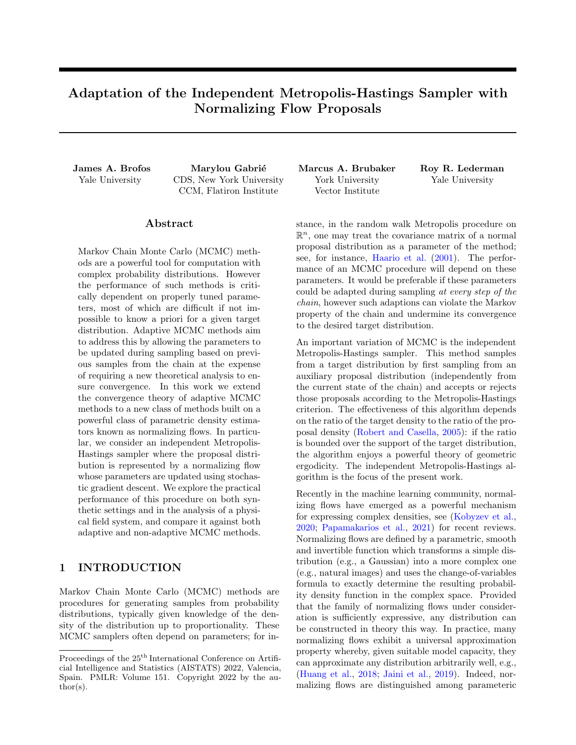<span id="page-30-2"></span>

Figure 5: Examinations of the violations of stationarity that result by maximizing the pseudo-likelihood of the accepted samples as an adaptation mechanism. After one-hundred steps of adaptation, one clearly perceives that the distribution of states does not follow the target distribution. However, after ten-thousand steps, the distribution of state is closer to the target distribution. We also show the KL divergence between the target distribution at the proposal distribution according to the number of steps of the chain. Results are computed over one-million random simulations.

# <span id="page-30-0"></span>J Violations of Stationarity

In general, adaptation of the parameters of the transition kernel will destroy stationarity. However, if the adaptations and the state of the chain enjoy a prescribed independence condition, then stationarity of the target distribution can be conserved.

<span id="page-30-1"></span>**Proposition J.1.** Suppose that  $(\Theta_0, \Theta_1, \ldots)$  is a stochastic Y-valued sequence. Let  $(K_{n})_{n \geq N}$  be an associated sequence of Markov transition kernels which produces an  $X$ -valued chain as  $X_{n+1}$   $\longrightarrow$   $K_n(X_n, \cdot)$ . Suppose further that  $\Theta_n$  and  $X_n$  are independent given the history of the chain to step n 1. If  $\Pi$  is stationary for each  $K_n$ , then  $\Pi$  is also the stationary distribution of  $(X_n)_{n\geq N}$ .

We first give an illustration of why maximizing the pseudo-likelihood objective may not always be beneficial. In particular, we look for evidence of violations of stationarity; violations of stationarity mean that if one begins with a sample from the target distribution and transforms it according to several steps of the transition kernel with adaptations, then the final state may not be distributed according to the target distribution. This can be interpreted as an undesirable form of sample degradation wherein applications of an adaptive transition kernel move exact samples further from the target distribution.

As a simple example, we consider sampling Normal $(1, 1/2)$  using a proposal distribution Normal $(\mu, \sigma^2)$ ; the proposal distribution can be interpreted as a simple normalizing flow consisting of a shift and scale applied to a standard normal base distribution. We consider adapting the parameters of the proposal distribution by computing the maximum likelihood estimates of the mean and standard deviation using the accepted samples. Specifically, let  $(X_0, X_1, \ldots, X_n)$  denote the states of the chain to step n; then the parameters of the proposal distribution at step  $n+1$  are  $\mu_{n+1} = (n+1)^{-1} \sum_{i=0}^{n} X_i$  and  $\sigma_{n+1} = \sqrt{(n+1)^{-1} \sum_{i=0}^{n} X_i^2 - \mu_{n+1}^2}$ . Results for this adaptation mechanism are shown in fig. [5;](#page-30-2) after one-hundred steps of adaptation, there is a clear violation of stationarity, but which has nearly vanished by the ten-thousandth step. We observe that adaptations do tend to reduce the forward KL divergence between the target and the proposal distribution, with the closeness improving as the number of adaptation steps increases.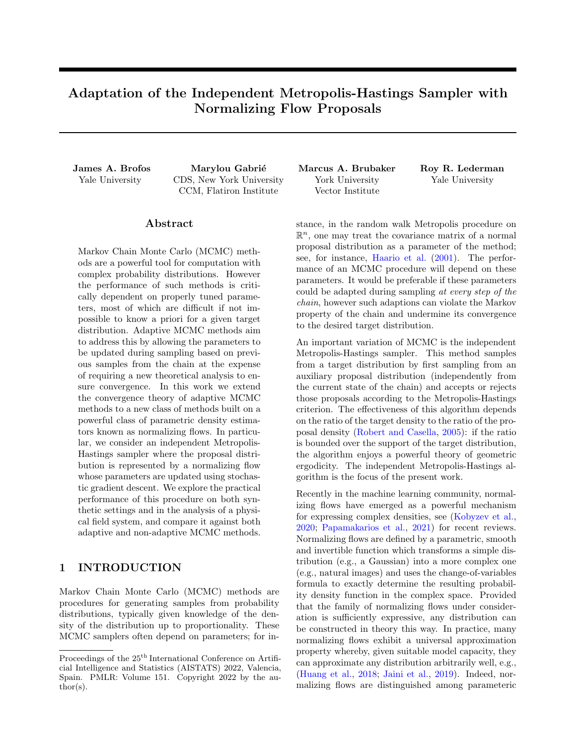#### K Independence and Product Transition Kernels

Let  $\Pi$  be a probability measure of  $\mathbb{R}^m$  with density  $\pi$ . Let  $\hat{\Pi}(A_1,\ldots,A_n)=\prod_{i=1}^n \Pi(A_i)$  be the product probability measure on  $(\mathbb{R}^m)^n = \prod_{i=1}^n \mathbb{R}^m$  (the product space of n copies of  $\mathbb{R}^m$ ). Let  $(x_1, \ldots, x_n) \n\supseteq (\mathbb{R}^m)^n$  and define the  $i<sup>th</sup>$  transition kernel by,

$$
K_i((x_1,\ldots,x_n),(dy_1,\ldots,dy_n))=[\alpha_i(x_i,y_i)\,dy_i+\beta_i(x_i)\,\delta_{x_i}(dy_i)]\,\prod_{j=1,j\neq i}^n\delta_{x_j}(dy_j)\qquad\qquad(182)
$$

$$
\alpha_i(x, y) = \min\left\{1, \frac{\pi(y)\tilde{\pi}_i(x/y)}{\pi(x)\tilde{\pi}_i(y/x)}\right\}\tilde{\pi}_i(y/x)
$$
\n(183)

$$
\beta_i(x) = \left(1 \quad \int_{\mathbb{R}^m} \alpha_i(x, w) \, \mathrm{d}w\right) \tag{184}
$$

Thus we can understand  $K_i$  as a transition kernel that applies a Metropolis-Hastings accept-reject decision to the  $i<sup>th</sup>$  dimension of the posterior using a proposal density  $\tilde{\pi}_i(jx_i)$  on  $\mathbb{R}^m$  and leaves all other dimensions unchanged. Because of the product structure of the joint distribution, these Metropolis-Hastings updates preserve the joint distribution even though the accept-reject decision is computed only on the  $i<sup>th</sup>$  marginal.

As an example, consider  $K_1$  and  $K_2$ . What is the composition transition kernel generated by first applying  $K_1$ and subsequently applying  $K_2$ ? By the Chapman-Kolmogorov formula, it is,

$$
(K_2 \quad K_1)((x_1, \ldots, x_n), (A_1, \ldots, A_n)) \tag{185}
$$

$$
= \int_{\mathbb{R}^m} \int_{\mathbb{R}^m} K_2((y_1,\ldots,y_n), (A_1,\ldots,A_n)) K_1((x_1,\ldots,x_n),(\mathrm{d}y_1,\ldots,\mathrm{d}y_n)) \tag{186}
$$

$$
= \int_{\mathbb{R}^m} \int_{\mathbb{R}^m} \left( \left[ \int_{A_2} \alpha_2(y_2, w) dw + \beta_2(y_2) \delta_{y_2}(A_2) \right] \prod_{j=1, j \notin 2}^n \delta_{y_j}(A_j) \right)
$$
  

$$
\left( [\alpha_1(x_1, y_1) dy_1 + \beta_1(x_1) \delta_{x_1}(dy_1)] \prod_{j=1, j \notin 1}^n \delta_{x_j}(dy_j) \right)
$$
  

$$
= \left[ \int_{\mathbb{R}^m} \alpha_1(x_1, w) dw + \beta_1(x_1) \delta_{x_1}(A_1) \right] \left[ \int_{\mathbb{R}^m} \alpha_2(x_2, w) dw + \beta_2(x_2) \delta_{x_2}(A_2) \right] \prod_{j=1}^n \delta_{x_j}(A_j).
$$
 (188)

$$
= \left[ \int_{A_1} \alpha_1(x_1, w) \, dw + \beta_1(x_1) \delta_{x_1}(A_1) \right] \left[ \int_{A_2} \alpha_2(x_2, w) \, dw + \beta_2(x_2) \delta_{x_2}(A_2) \right] \prod_{j=3}^{n} \delta_{x_j}(A_j). \tag{188}
$$

Notice that the composition kernel assumes a factorized form. Suppose that  $(x_1^{\ell}, \ldots, x_n^{\ell})$  $(K_2)$  $K_1((x_1,\ldots,x_n))$ . Drawing a sample from this composition kernel can be achieved by setting  $x_j^{\ell} = x_j$  for  $j = 3, \ldots, n$  and sampling  $x_1^{\ell}$  and  $x_2^{\ell}$  independently from the distributions

$$
\Pr\left[x_i^{\theta} \ge A \mid x_i\right] = \int_A \alpha_i(x_i, w) \, \mathrm{d}w + \beta_i(x_i) \delta_{x_i}(A),\tag{189}
$$

for  $i \nightharpoonup \mathcal{I}$  fl, 2g.

The fact that any composition kernel K<sup>k</sup> K<sup>1</sup> has this product distribution form can be established via induction. Assume

$$
(K_k \t K_1)((x_1,\ldots,x_n),(dy_1,\ldots,dy_n)) = \prod_{i=1}^k [\alpha_i(x_i,y_i) \ dy_i + \beta_i(x_i) \ \delta_{x_i}(dy_i)] \prod_{j=k+1}^n \delta_{x_j}(dy_j) \qquad (190)
$$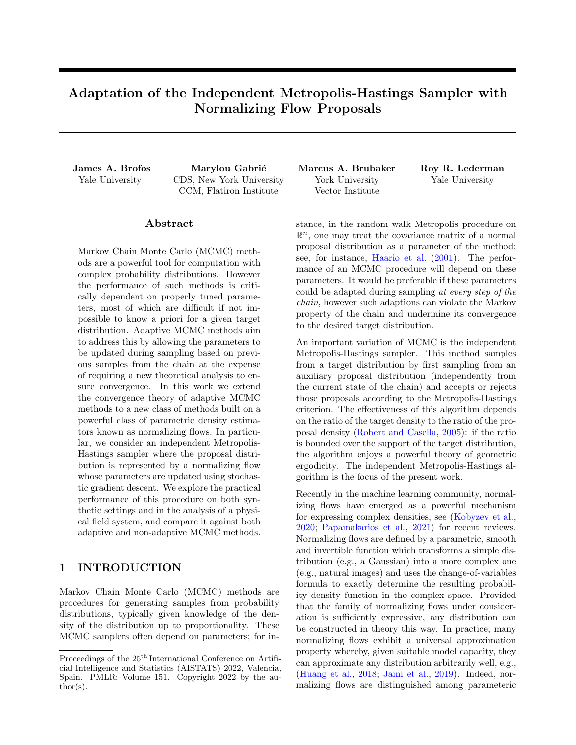Then,

$$
(K_{k+1} \t K_1)((x_1,\ldots,x_n),(A_1,\ldots,A_n)) \t (191)
$$

$$
= \int_{(\mathbb{R}^m)^n} K_{k+1}((y_1, \dots, y_n), (A_1, \dots, A_n))(K_k \qquad K_1)((x_1, \dots, x_n), (dy_1, \dots, dy_n)) \tag{192}
$$

$$
= \int_{(\mathbb{R}^m)^n} \left[ \left( \int_{A_{k+1}} \alpha_{k+1}(y_{k+1}, w) \, dw + \beta_{k+1}(y_{k+1}) \delta_{y_{k+1}}(A_{k+1}) \right) \prod_{j=1, j \notin k+1}^n \delta_{y_j}(A_j) \right]
$$
  

$$
\left[ \prod_{i=1}^k \left[ \alpha_i(x_i, y_i) \, dy_i + \beta_i(x_i) \, \delta_{x_i}(dy_i) \right] \prod_{i=1}^n \delta_{x_i}(dy_j) \right]
$$
(193)

$$
\left[\prod_{i=1} [\alpha_i(x_i, y_i) dy_i + \beta_i(x_i) \delta_{x_i}(dy_i)] \prod_{j=k+1} \delta_{x_j}(dy_j)\right]
$$
\n
$$
= \left[\prod_{i=1}^{k+1} \left(\int_{A_i} \alpha_i(y_i, w) dw + \beta_i(y_i) \delta_{x_i}(A_i)\right) \right] \left[\prod_{j=k+2}^n \delta_{x_j}(A_j)\right].
$$
\n(194)

This verifies that the composition kernel has the desired product structure. The special case of  $k = n$  implies,

$$
(K_n \t K_1)((x_1,\ldots,x_n),(dy_1,\ldots,dy_n)) = \prod_{i=1}^n [\alpha_i(x_i,y_i) \ dy_i + \beta_i(x_i) \ \delta_{x_i}(dy_i)]. \t (195)
$$

To sample  $(x_1^{\ell},...,x_n^{\ell})$   $(K_n \t K_1)((x_1,...,x_n),)$ , one may simply sample independently from the distributions,

$$
\Pr\left[x_i^{\theta} \ 2 \ 4 \ jx_i\right] = \int_A \alpha_i(x_i, w) \, dw + \beta_i(x_i) \delta_{x_i}(A) \tag{196}
$$

for  $i = 1, \ldots, n$ . Each of these samples may be drawn in parallel because the i<sup>th</sup> sample depends only on  $x_i$ .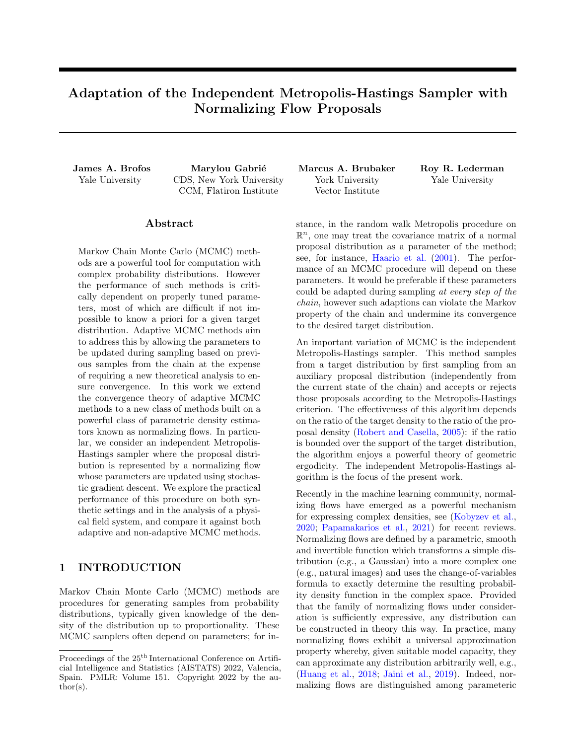# <span id="page-33-0"></span>L Reasons for Violations of Containment

## Inexpressive Family

If the family of proposal densities is not sufficiently expressive, it may be that there does not exist any  $M$  1 satisfying  $\log \pi(x)$   $\log \tilde{\pi}_{\theta}(x) < \log M$  for any  $\theta$ . For instance, on  $\mathbb{R}^{n}$ , if the proposal densities have tails that vanish exponentially quickly and the target density's tails diminish only polynomially, then the family of proposal densities is not sufficiently expressive for proposition [4.4](#page-5-4) to hold; see [Jaini et al.](#page-9-16) [\(2020\)](#page-9-16) for details on the tail behavior of normalizing flows. On the other hand, if the family of proposal distributions has a universality property (see, inter alia [Kobyzev et al.](#page-9-1) [\(2020\)](#page-9-1)), then this concern can be alleviated.

## Mode Collapse

Proposal densities obtained through the minimization of certain loss functions, including  $\mathbb{KL}(\tilde{\pi}_{\theta}k\pi)$ , may result in the modes of  $\pi$  not being properly represented in the proposal density  $\tilde{\pi}_{\theta}$ . In the case of KL( $\tilde{\pi}_{\theta}k\pi$ ), the mode-seeking behavior of the loss function can cause the mode-collapse phenomenon, which can invalidate the assumption of proposition [4.4.](#page-5-4) One could alleviate this concern by targeting a tempered version of the target density or if one has confidence that mode collapse will not occur (for instance if the target density is unimodal).

## Unstable Loss

If the adaptations produced by attempting to minimize the loss function are ill-behaved (for instance if the stepsize is too large, leading to divergent adaptations), then the sequence  $(\Theta_n)_{n\geq N}$  may parameterize poor proposal densities which cause the failure of eq. [\(6\)](#page-5-3). If the algorithm relies of the convergence of the sequence  $(\Theta_n)_{n\geq N}$ , then ill-behaved adaptations may lead to a violation of ergodicity due to a failure of both containment and diminishing adaptation.

### Inadequate Prior Knowledge

Sampling procedures can be developed so as to incorporate additional knowledge about the posterior, such as symmetries. When such information is available, developing a Bayesian inference procedure that incorporates it can lead to improvements. On the other hand, in complicated distributions, a lack of understanding about the posterior can lead to missed modes, resulting in a failure of containment.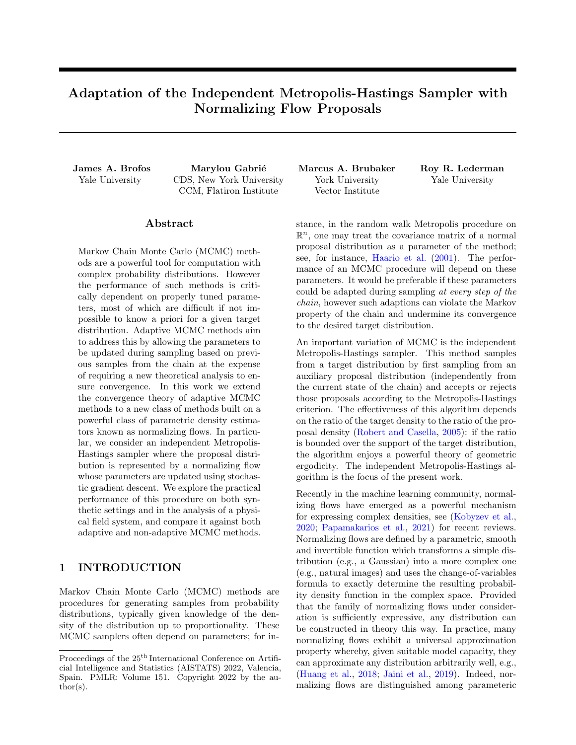<span id="page-34-0"></span>Algorithm 1 Algorithm for sampling from a target distribution by adapting a normalizing flow proposal distribution in the independent Metropolis-Hastings algorithm using the pseudo-likelihood objective.

**Input:** A sequence of step-sizes  $(\epsilon_0, \epsilon_1, \ldots)$ ; a sequence of adaptation probabilities  $(\alpha_0, \alpha, \ldots)$  an initial state  $x_0$  and initial parameter  $\theta_0$ ; a target distribution with density  $\pi : X \neq \mathbb{R}$ . for  $n = 0, 1, 2, \ldots$  do

Sample a proposal state from the current proposal distribution  $\tilde{x}_{n+1}$   $\tilde{\Pi}_{\theta_{n-1}}$ .

Generate  $u$  Uniform $(0, 1)$  and compute the Metropolis-Hastings accept-reject decision.

$$
a \qquad u < \min\left\{1, \frac{\pi(\tilde{x}_{n+1})\tilde{\pi}_{\theta_n}(x_n)}{\pi(x_n)\tilde{\pi}_{\theta_n}(\tilde{x}_{n+1})}\right\} \tag{197}
$$

if a then Accept the proposal  $x_{n+1}$   $\tilde{x}_{n+1}$ . else Remain at current state  $x_{n+1}$   $x_n$ . end if Generate  $u^{\theta}$  Uniform $(0, 1)$ . if  $u^{\theta} < \alpha_n$  then Update the parameters

$$
\theta_{n+1} \qquad \theta_n + \epsilon_n \Gamma \log \tilde{\pi}_{\theta_n}(x_k) \tag{198}
$$

where k Uniform $(\textit{f0}, 1 \ldots, n+1 \textit{g}).$ else Otherwise, keep the current parameters  $\theta_{n+1}$   $\theta_n$ . end if end for

## <span id="page-34-1"></span>M Pseudo-Likelihood Algorithm

The pseudo-likelihood training algorithm is given in algorithm [1.](#page-34-0)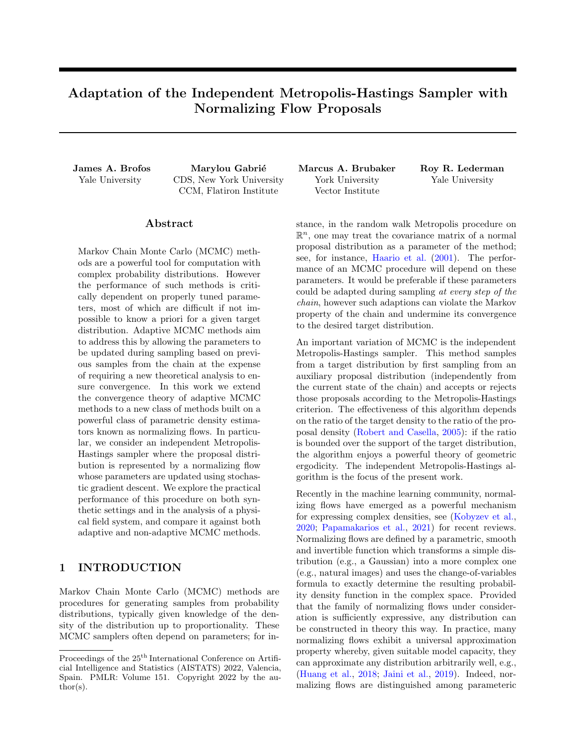## <span id="page-35-1"></span>N Simultaneous Uniform Ergodicity on Compact Spaces

<span id="page-35-0"></span>Definition N.1. A family of transition kernels  $fK_{\theta}$ :  $\theta$  2  $\gamma$ g is said to exhibit simultaneous uniform ergodicity if, for all  $\epsilon > 0$ , there exists  $n \geq \mathbb{N}$  such that  $kK_{\theta}^{n}(x, \cdot)$   $\Pi(\cdot)$   $k_{\mathsf{TV}}$   $\epsilon$  for all  $\theta \geq \mathbb{Y}$  and  $x \geq \mathbb{X}$ .

Simultaneous uniform ergodicity is a strong condition which states that, no matter which parameter  $\theta$  2 Y one selects, there is a finite number of steps one can take with that fixed transition kernel in order to become arbitrarily close to the target distribution in total variation. We will see later that this condition can be made to hold for compactly supported target distributions.

We now turn our attention to the question of simultaneous uniform ergodicity.

<span id="page-35-2"></span>**Proposition N.2.** Let X and  $\pi$  satisfy the conditions of corollary [2.7.](#page-2-3) Suppose that every  $\theta$  2 Y parameterizes a probability measure  $\tilde{\Pi}_{\theta}$  on  $B(X)$  whose density  $\tilde{\pi}_{\theta}$  is continuous and satisfies  $\text{Supp}(\pi)$   $\text{Supp}(\tilde{\pi}_{\theta})$ . Suppose further that for all  $\theta \supseteq Y$ , there exists  $\delta > 0$  such that

<span id="page-35-3"></span>
$$
\delta = \min_{x \ge \text{Supp}(\pi)} \tilde{\pi}_{\theta}(x) \tag{199}
$$

Then the family of Markov chain transition operators of the independent Metropolis-Hastings sampler of Π given  $\tilde{\Pi}_{\theta}$  satisfies the simultaneous uniform ergodicity property.

A proof is given in appendix [E.](#page-20-0) Perhaps the most straight-forward mechanism to guarantee eq. [\(199\)](#page-35-3) is to consider mixture distributions with a fixed distribution that shares the same support as  $\pi$ .

<span id="page-35-4"></span>**Lemma N.3.** Suppose that  $\Pi$  is a distribution on X with continuous density  $\pi$  such that Supp( $\pi$ )  $\text{Supp}(\pi)$ . Suppose that every  $\theta$  2 Y parameterizes a probability measure  $\tilde{\Pi}_{\theta}$  on  $B(X)$  whose density  $\tilde{\pi}_{\theta}$  is continuous. Consider probability measures  $\tilde{\Pi}_{\theta}$  whose densities are constructed from mixtures,

$$
\tilde{\pi}_{\theta}(x) = \beta \pi \quad (x) + (1 - \beta)\tilde{\pi}_{\theta}(x),\tag{200}
$$

where  $\beta \, \mathcal{Q}(0,1)$ . Then  $\tilde{\pi}_{\theta}$  satisfies eq. [\(199\)](#page-35-3) with

<span id="page-35-5"></span>
$$
\delta = \beta \min_{x \ge \text{Supp}(\pi)} \pi \quad (x). \tag{201}
$$

A proof is given in appendix [E.](#page-20-0) A natural choice of  $\Pi$  would be the uniform distribution on X. It is conceivable that one could consider adapting  $\beta$  in the same way that one adapts  $\theta$ . However, in order to guarantee that eq. [\(201\)](#page-35-5) is greater than zero, one will require the condition that  $\beta \neq (\beta, 1)$  where  $\beta > 0$ .

Example 6. Let  $\Pi$  be a probability measure with density  $\pi$  on a compact space X. Let  $Y = \mathbb{R}^m$  and suppose that every  $\theta$  2 Y smoothly parameterizes a probability measure  $\tilde{\Pi}_{\theta}$  on  $B(X)$  with density  $\tilde{\pi}_{\theta}$  for which Supp( $\pi$ ) =  $\text{Supp}(\tilde{\pi}_{\theta})$ . Let  $\tilde{\Pi}_{\theta}$  be as in lemma [N.3.](#page-35-4) Let  $(\alpha_0, \alpha_1, \ldots)$  be a sequence, bounded between zero and one, converging to zero. Consider the sequence of updates,

$$
\theta_n = \begin{cases} \theta_{n-1} & \epsilon \cap \theta \log \frac{\pi_{n-1}(X(\theta_{n-1}))}{\pi(X(\theta_{n-1}))} & \text{w.p. } 1 - \alpha_{n-1} \\ \theta_{n-1} & \text{otherwise.} \end{cases}
$$
(202)

where  $\tilde{X}$  $_{\theta_{n-1}}$ . Consider the family of Markov chain transition operators of the independent Metropolis-Hastings sampler of  $\Pi$  given  $\tilde{\Pi}_{\theta_n}$  with transition kernels  $K_{\theta_n}$  where the proposal at step n is  $\tilde{X}$ . Then by theorem [2.12](#page-3-7) the distribution of  $X_{n+1}$   $K_{\theta_n}(X_n)$  converges to  $\Pi$ .

Examples of compact spaces on which normalizing flows have been applied include the torus, the sphere, the special orthogonal group, and the Stiefel manifold [\(Rezende et al.,](#page-9-23) [2020;](#page-9-23) [Falorsi et al.,](#page-9-24) [2019\)](#page-9-24).

The reason we were required to invoke a mixture distribution in the adaptation was because it prevented any sequence from becoming arbitrarily ill-suited to sampling the target distribution; the fact that there was a global limit to how bad any proposal distribution could be allowed us to invoke simultaneous uniform ergodicity of the family of distributions.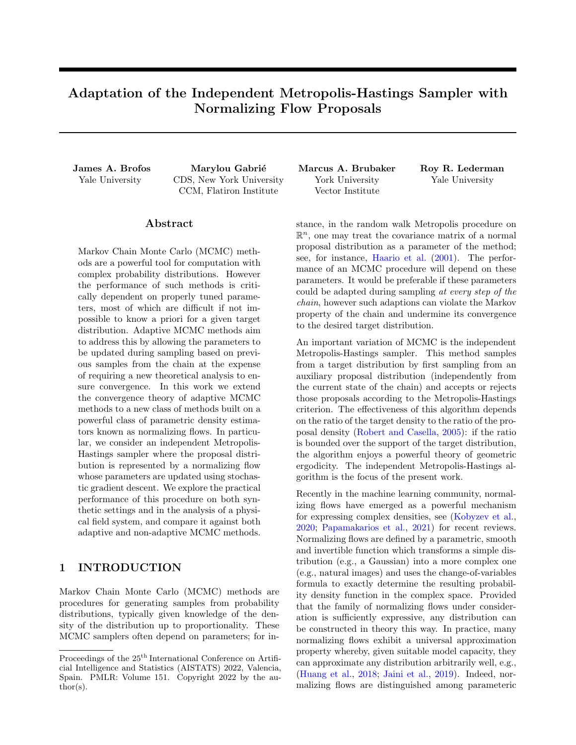## <span id="page-36-0"></span>O Experimental details on field experiment

We provide additional details on the experiment presented in section  $5.3$ .

Field distribution. The  $\phi^4$  field model is a popular model used to study phase transition in statistical mechanics (see for example [\(Berglund et al.,](#page-8-6) [2017\)](#page-8-6)). Here we focus on its 1d version, where its field is defined on the segment [0, 1], and impose Dirichlet boundary conditions  $\phi(0) = \phi(1) = 0$ . The energy function is an intergral over the segment of two terms:

<span id="page-36-1"></span>
$$
U(\phi) = \int_0^1 \left[ \frac{a}{2} (\partial_s \phi)^2 + \frac{1}{4a} \left( 1 - \phi^2(s) \right)^2 \right] ds.
$$
 (203)

The coupling term  $\frac{a}{2}(\partial_s\phi)^2$  encourages the smoothness of the field, while the local potential term  $\frac{1}{4a}(1-\phi^2(s))^2$ favors fields taking values close to 1 or 1 over the segment. For large values of the parameter a, fields with significant statistical weights will take values close to 0 over the entire segment  $[0, 1]$ . As a decreases, the system undergoes a *phase transition* and two distinct modes forms concentrating around either  $+1$  or 1.

Note that here the energy function [\(203\)](#page-36-1) is symmetric under the symmetry  $\phi$ !  $\phi$ . We exploit this symmetry to provide high-quality reference samples in the experiments described next. Note however that as a biasing term is added to the energy, the statistical weights of either of the modes become unknown.

The numerical experiments described next shows that the adaptive sampler with normalizing flow proposals can recover the relative statistics thanks to efficient mixing, at least at the level of discretization described. Conversely, the energy barrier between the two modes prevents a Langevin sampler from mixing in a reasonable time.

Numerics. We sample the field at 100 equally spaced locations between 0 and 1. The RealNVP flow [\(Dinh](#page-8-7) [et al.,](#page-8-7) [2017\)](#page-8-7) we optimize has 5 pairs of affine coupling layers updating each half of the 100 field variables. The scaling and translation transformations of each coupling layer is a 2-hidden-layer perceptron with relu activations and 100 units per layer.

The algorithm minimizing the "pseudo-likelihood" objective, defined in example [3,](#page-5-0) follows largely the lines of algorithm [1.](#page-34-0) Being more specific, we collect the states of 100 parallel walkers every 10 sampling iterations and take a gradient step with the corresponding 1000-sample batch. The initial learning rate of 10<sup> $-3$ </sup> is halved every 5000 gradient steps.

We initialize 100 chains: 20 at the uniform value of 1 and 80 at the uniform value of 1. Thanks to the adaptation of the normalizing flow, leading to good acceptance as reported in the main text, these chains can easily mix between modes and recover the proper statistical weights of 50/50.